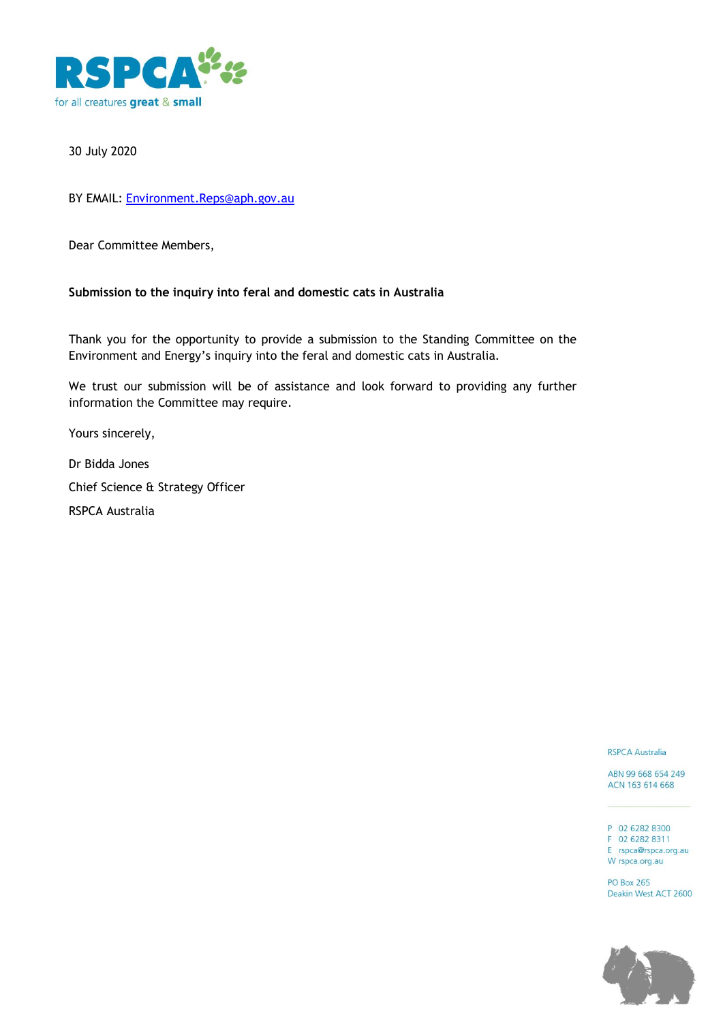

## 30 July 2020

BY EMAIL: [Environment.Reps@aph.gov.au](mailto:Environment.Reps@aph.gov.au)

Dear Committee Members,

## **Submission to the inquiry into feral and domestic cats in Australia**

Thank you for the opportunity to provide a submission to the Standing Committee on the Environment and Energy's inquiry into the feral and domestic cats in Australia*.* 

We trust our submission will be of assistance and look forward to providing any further information the Committee may require.

Yours sincerely,

Dr Bidda Jones Chief Science & Strategy Officer RSPCA Australia

**RSPCA Australia** 

ABN 99 668 654 249 ACN 163 614 668

P 02 6282 8300 F 02 6282 8311 E rspca@rspca.org.au W rspca.org.au

**PO Box 265** Deakin West ACT 2600

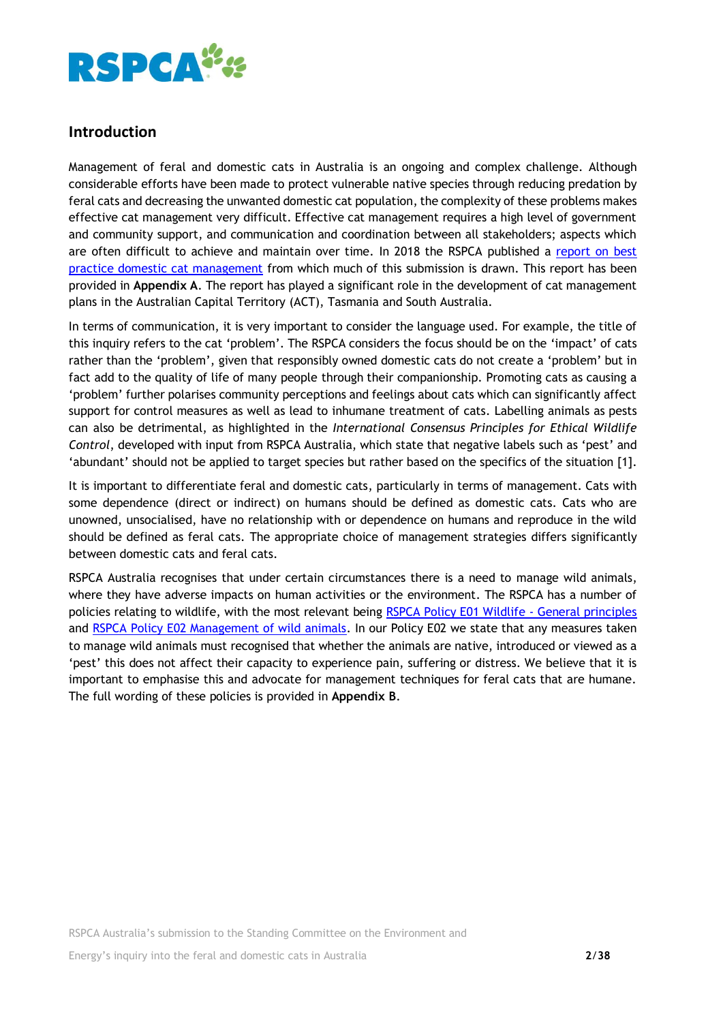

## **Introduction**

Management of feral and domestic cats in Australia is an ongoing and complex challenge. Although considerable efforts have been made to protect vulnerable native species through reducing predation by feral cats and decreasing the unwanted domestic cat population, the complexity of these problems makes effective cat management very difficult. Effective cat management requires a high level of government and community support, and communication and coordination between all stakeholders; aspects which are often difficult to achieve and maintain over time. In 2018 the RSPCA published a [report on best](https://kb.rspca.org.au/bfd_download/identifying-best-practice-domestic-cat-management-in-australia-may-2018/)  [practice domestic cat management](https://kb.rspca.org.au/bfd_download/identifying-best-practice-domestic-cat-management-in-australia-may-2018/) from which much of this submission is drawn. This report has been provided in **Appendix A**. The report has played a significant role in the development of cat management plans in the Australian Capital Territory (ACT), Tasmania and South Australia.

In terms of communication, it is very important to consider the language used. For example, the title of this inquiry refers to the cat 'problem'. The RSPCA considers the focus should be on the 'impact' of cats rather than the 'problem', given that responsibly owned domestic cats do not create a 'problem' but in fact add to the quality of life of many people through their companionship. Promoting cats as causing a 'problem' further polarises community perceptions and feelings about cats which can significantly affect support for control measures as well as lead to inhumane treatment of cats. Labelling animals as pests can also be detrimental, as highlighted in the *International Consensus Principles for Ethical Wildlife Control*, developed with input from RSPCA Australia, which state that negative labels such as 'pest' and 'abundant' should not be applied to target species but rather based on the specifics of the situation [1].

It is important to differentiate feral and domestic cats, particularly in terms of management. Cats with some dependence (direct or indirect) on humans should be defined as domestic cats. Cats who are unowned, unsocialised, have no relationship with or dependence on humans and reproduce in the wild should be defined as feral cats. The appropriate choice of management strategies differs significantly between domestic cats and feral cats.

RSPCA Australia recognises that under certain circumstances there is a need to manage wild animals, where they have adverse impacts on human activities or the environment. The RSPCA has a number of policies relating to wildlife, with the most relevant being [RSPCA Policy E01 Wildlife -](https://kb.rspca.org.au/rspca-policy-e01-wildlife-general-principles_421.html) General principles and [RSPCA Policy E02 Management of wild animals.](https://kb.rspca.org.au/rspca-policy-e02-management-of-wild-animals_422.html) In our Policy E02 we state that any measures taken to manage wild animals must recognised that whether the animals are native, introduced or viewed as a 'pest' this does not affect their capacity to experience pain, suffering or distress. We believe that it is important to emphasise this and advocate for management techniques for feral cats that are humane. The full wording of these policies is provided in **Appendix B**.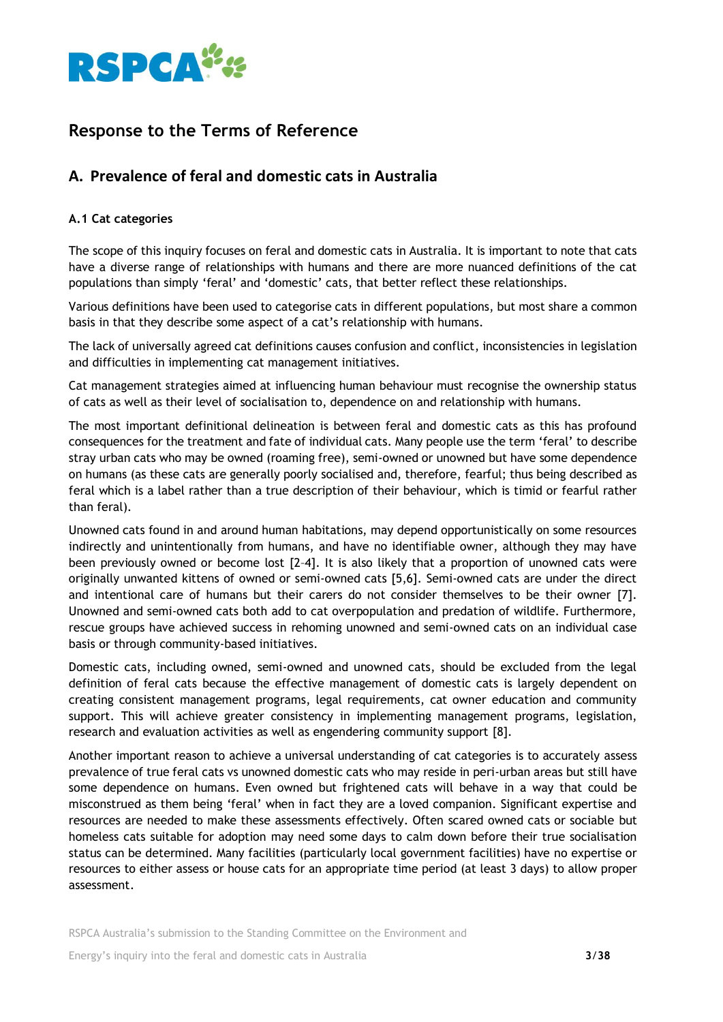

# **Response to the Terms of Reference**

## **A. Prevalence of feral and domestic cats in Australia**

## **A.1 Cat categories**

The scope of this inquiry focuses on feral and domestic cats in Australia. It is important to note that cats have a diverse range of relationships with humans and there are more nuanced definitions of the cat populations than simply 'feral' and 'domestic' cats, that better reflect these relationships.

Various definitions have been used to categorise cats in different populations, but most share a common basis in that they describe some aspect of a cat's relationship with humans.

The lack of universally agreed cat definitions causes confusion and conflict, inconsistencies in legislation and difficulties in implementing cat management initiatives.

Cat management strategies aimed at influencing human behaviour must recognise the ownership status of cats as well as their level of socialisation to, dependence on and relationship with humans.

The most important definitional delineation is between feral and domestic cats as this has profound consequences for the treatment and fate of individual cats. Many people use the term 'feral' to describe stray urban cats who may be owned (roaming free), semi-owned or unowned but have some dependence on humans (as these cats are generally poorly socialised and, therefore, fearful; thus being described as feral which is a label rather than a true description of their behaviour, which is timid or fearful rather than feral).

Unowned cats found in and around human habitations, may depend opportunistically on some resources indirectly and unintentionally from humans, and have no identifiable owner, although they may have been previously owned or become lost [2–4]. It is also likely that a proportion of unowned cats were originally unwanted kittens of owned or semi-owned cats [5,6]. Semi-owned cats are under the direct and intentional care of humans but their carers do not consider themselves to be their owner [7]. Unowned and semi-owned cats both add to cat overpopulation and predation of wildlife. Furthermore, rescue groups have achieved success in rehoming unowned and semi-owned cats on an individual case basis or through community-based initiatives.

Domestic cats, including owned, semi-owned and unowned cats, should be excluded from the legal definition of feral cats because the effective management of domestic cats is largely dependent on creating consistent management programs, legal requirements, cat owner education and community support. This will achieve greater consistency in implementing management programs, legislation, research and evaluation activities as well as engendering community support [8].

Another important reason to achieve a universal understanding of cat categories is to accurately assess prevalence of true feral cats vs unowned domestic cats who may reside in peri-urban areas but still have some dependence on humans. Even owned but frightened cats will behave in a way that could be misconstrued as them being 'feral' when in fact they are a loved companion. Significant expertise and resources are needed to make these assessments effectively. Often scared owned cats or sociable but homeless cats suitable for adoption may need some days to calm down before their true socialisation status can be determined. Many facilities (particularly local government facilities) have no expertise or resources to either assess or house cats for an appropriate time period (at least 3 days) to allow proper assessment.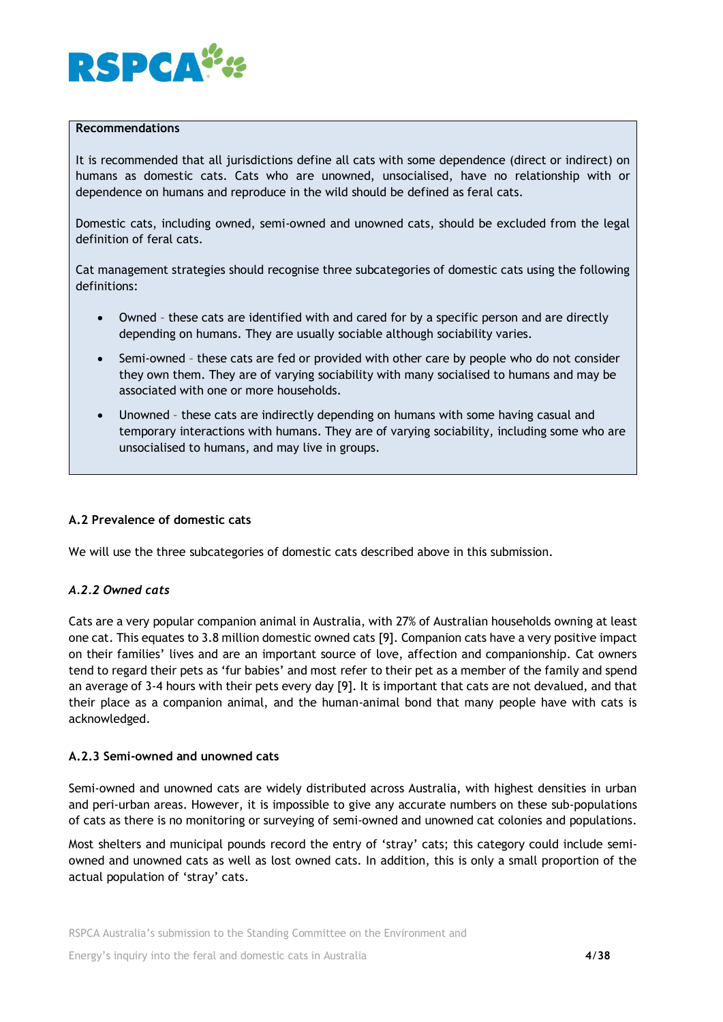

### **Recommendations**

It is recommended that all jurisdictions define all cats with some dependence (direct or indirect) on humans as domestic cats. Cats who are unowned, unsocialised, have no relationship with or dependence on humans and reproduce in the wild should be defined as feral cats.

Domestic cats, including owned, semi-owned and unowned cats, should be excluded from the legal definition of feral cats.

Cat management strategies should recognise three subcategories of domestic cats using the following definitions:

- Owned these cats are identified with and cared for by a specific person and are directly depending on humans. They are usually sociable although sociability varies.
- Semi-owned these cats are fed or provided with other care by people who do not consider they own them. They are of varying sociability with many socialised to humans and may be associated with one or more households.
- Unowned these cats are indirectly depending on humans with some having casual and temporary interactions with humans. They are of varying sociability, including some who are unsocialised to humans, and may live in groups.

#### **A.2 Prevalence of domestic cats**

We will use the three subcategories of domestic cats described above in this submission.

## *A.2.2 Owned cats*

Cats are a very popular companion animal in Australia, with 27% of Australian households owning at least one cat. This equates to 3.8 million domestic owned cats [9]. Companion cats have a very positive impact on their families' lives and are an important source of love, affection and companionship. Cat owners tend to regard their pets as 'fur babies' and most refer to their pet as a member of the family and spend an average of 3-4 hours with their pets every day [9]. It is important that cats are not devalued, and that their place as a companion animal, and the human-animal bond that many people have with cats is acknowledged.

#### **A.2.3 Semi-owned and unowned cats**

Semi-owned and unowned cats are widely distributed across Australia, with highest densities in urban and peri-urban areas. However, it is impossible to give any accurate numbers on these sub-populations of cats as there is no monitoring or surveying of semi-owned and unowned cat colonies and populations.

Most shelters and municipal pounds record the entry of 'stray' cats; this category could include semiowned and unowned cats as well as lost owned cats. In addition, this is only a small proportion of the actual population of 'stray' cats.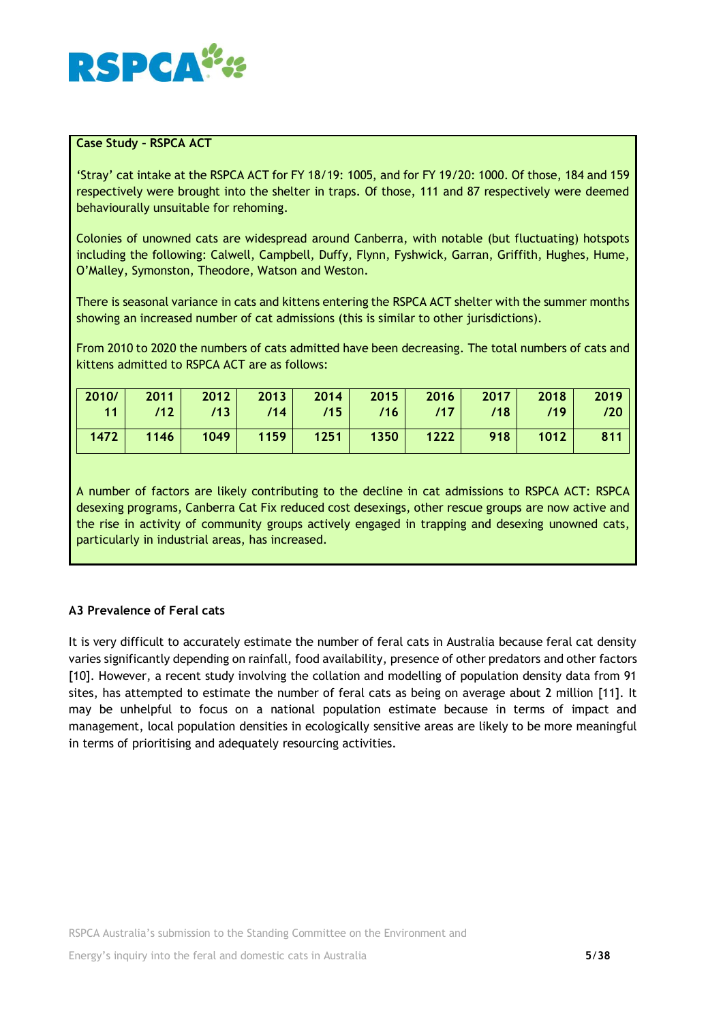

## **Case Study – RSPCA ACT**

'Stray' cat intake at the RSPCA ACT for FY 18/19: 1005, and for FY 19/20: 1000. Of those, 184 and 159 respectively were brought into the shelter in traps. Of those, 111 and 87 respectively were deemed behaviourally unsuitable for rehoming.

Colonies of unowned cats are widespread around Canberra, with notable (but fluctuating) hotspots including the following: Calwell, Campbell, Duffy, Flynn, Fyshwick, Garran, Griffith, Hughes, Hume, O'Malley, Symonston, Theodore, Watson and Weston.

There is seasonal variance in cats and kittens entering the RSPCA ACT shelter with the summer months showing an increased number of cat admissions (this is similar to other jurisdictions).

From 2010 to 2020 the numbers of cats admitted have been decreasing. The total numbers of cats and kittens admitted to RSPCA ACT are as follows:

| 2010/ | 2011 | 2012 |      |      | $2013$ 2014 2015 2016 |      | $\sim$ 2017 | 2018 | 2019 |
|-------|------|------|------|------|-----------------------|------|-------------|------|------|
| 11    | /12  | /13  | /14  | /15  | /16                   | 117  | /18         | /19  |      |
| 1472  | 1146 | 1049 | 1159 | 1251 | 1350                  | 1222 | 918         | 1012 | 811  |
|       |      |      |      |      |                       |      |             |      |      |

A number of factors are likely contributing to the decline in cat admissions to RSPCA ACT: RSPCA desexing programs, Canberra Cat Fix reduced cost desexings, other rescue groups are now active and the rise in activity of community groups actively engaged in trapping and desexing unowned cats, particularly in industrial areas, has increased.

## **A3 Prevalence of Feral cats**

It is very difficult to accurately estimate the number of feral cats in Australia because feral cat density varies significantly depending on rainfall, food availability, presence of other predators and other factors [10]. However, a recent study involving the collation and modelling of population density data from 91 sites, has attempted to estimate the number of feral cats as being on average about 2 million [11]. It may be unhelpful to focus on a national population estimate because in terms of impact and management, local population densities in ecologically sensitive areas are likely to be more meaningful in terms of prioritising and adequately resourcing activities.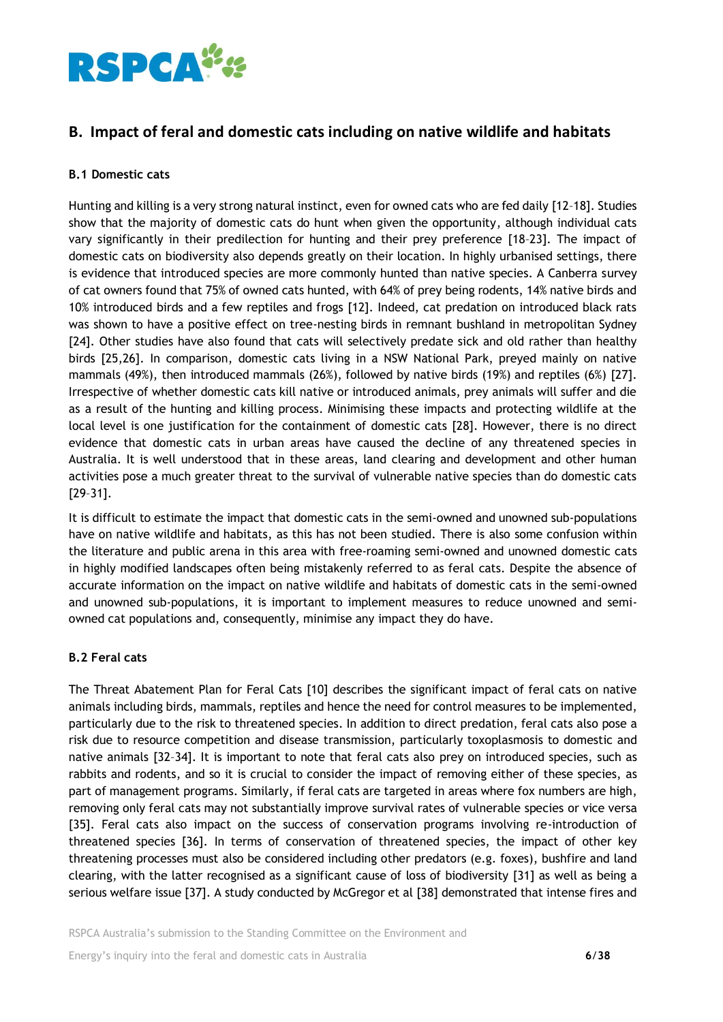

## **B. Impact of feral and domestic cats including on native wildlife and habitats**

## **B.1 Domestic cats**

Hunting and killing is a very strong natural instinct, even for owned cats who are fed daily [12–18]. Studies show that the majority of domestic cats do hunt when given the opportunity, although individual cats vary significantly in their predilection for hunting and their prey preference [18–23]. The impact of domestic cats on biodiversity also depends greatly on their location. In highly urbanised settings, there is evidence that introduced species are more commonly hunted than native species. A Canberra survey of cat owners found that 75% of owned cats hunted, with 64% of prey being rodents, 14% native birds and 10% introduced birds and a few reptiles and frogs [12]. Indeed, cat predation on introduced black rats was shown to have a positive effect on tree-nesting birds in remnant bushland in metropolitan Sydney [24]. Other studies have also found that cats will selectively predate sick and old rather than healthy birds [25,26]. In comparison, domestic cats living in a NSW National Park, preyed mainly on native mammals (49%), then introduced mammals (26%), followed by native birds (19%) and reptiles (6%) [27]. Irrespective of whether domestic cats kill native or introduced animals, prey animals will suffer and die as a result of the hunting and killing process. Minimising these impacts and protecting wildlife at the local level is one justification for the containment of domestic cats [28]. However, there is no direct evidence that domestic cats in urban areas have caused the decline of any threatened species in Australia. It is well understood that in these areas, land clearing and development and other human activities pose a much greater threat to the survival of vulnerable native species than do domestic cats [29–31].

It is difficult to estimate the impact that domestic cats in the semi-owned and unowned sub-populations have on native wildlife and habitats, as this has not been studied. There is also some confusion within the literature and public arena in this area with free-roaming semi-owned and unowned domestic cats in highly modified landscapes often being mistakenly referred to as feral cats. Despite the absence of accurate information on the impact on native wildlife and habitats of domestic cats in the semi-owned and unowned sub-populations, it is important to implement measures to reduce unowned and semiowned cat populations and, consequently, minimise any impact they do have.

## **B.2 Feral cats**

The Threat Abatement Plan for Feral Cats [10] describes the significant impact of feral cats on native animals including birds, mammals, reptiles and hence the need for control measures to be implemented, particularly due to the risk to threatened species. In addition to direct predation, feral cats also pose a risk due to resource competition and disease transmission, particularly toxoplasmosis to domestic and native animals [32–34]. It is important to note that feral cats also prey on introduced species, such as rabbits and rodents, and so it is crucial to consider the impact of removing either of these species, as part of management programs. Similarly, if feral cats are targeted in areas where fox numbers are high, removing only feral cats may not substantially improve survival rates of vulnerable species or vice versa [35]. Feral cats also impact on the success of conservation programs involving re-introduction of threatened species [36]. In terms of conservation of threatened species, the impact of other key threatening processes must also be considered including other predators (e.g. foxes), bushfire and land clearing, with the latter recognised as a significant cause of loss of biodiversity [31] as well as being a serious welfare issue [37]. A study conducted by McGregor et al [38] demonstrated that intense fires and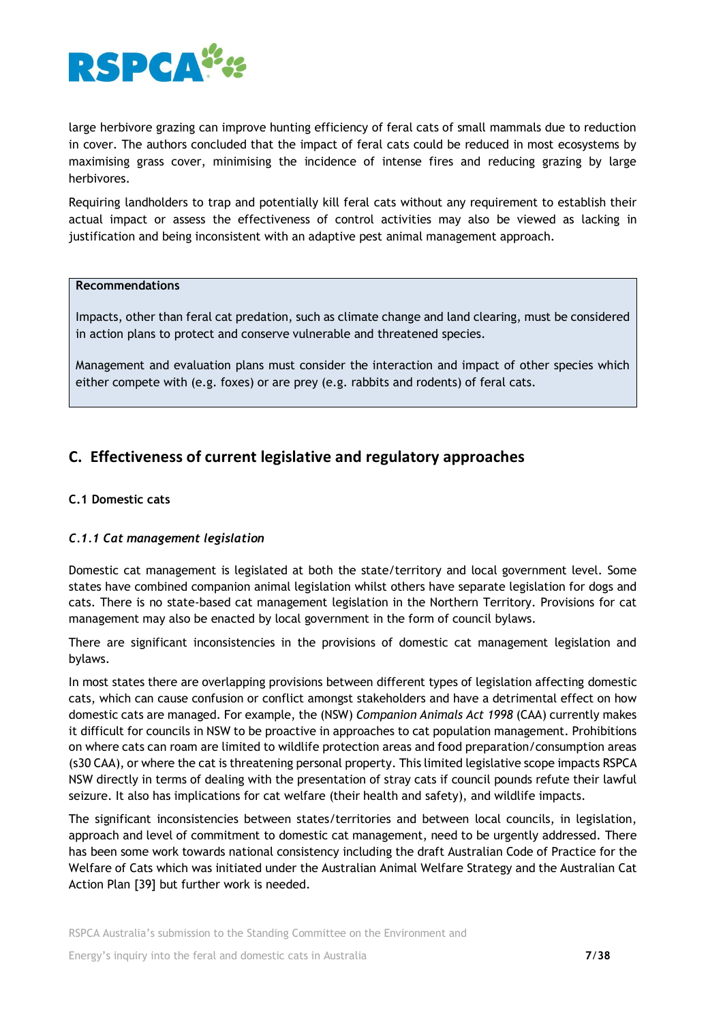

large herbivore grazing can improve hunting efficiency of feral cats of small mammals due to reduction in cover. The authors concluded that the impact of feral cats could be reduced in most ecosystems by maximising grass cover, minimising the incidence of intense fires and reducing grazing by large herbivores.

Requiring landholders to trap and potentially kill feral cats without any requirement to establish their actual impact or assess the effectiveness of control activities may also be viewed as lacking in justification and being inconsistent with an adaptive pest animal management approach.

## **Recommendations**

Impacts, other than feral cat predation, such as climate change and land clearing, must be considered in action plans to protect and conserve vulnerable and threatened species.

Management and evaluation plans must consider the interaction and impact of other species which either compete with (e.g. foxes) or are prey (e.g. rabbits and rodents) of feral cats.

# **C. Effectiveness of current legislative and regulatory approaches**

## **C.1 Domestic cats**

## *C.1.1 Cat management legislation*

Domestic cat management is legislated at both the state/territory and local government level. Some states have combined companion animal legislation whilst others have separate legislation for dogs and cats. There is no state-based cat management legislation in the Northern Territory. Provisions for cat management may also be enacted by local government in the form of council bylaws.

There are significant inconsistencies in the provisions of domestic cat management legislation and bylaws.

In most states there are overlapping provisions between different types of legislation affecting domestic cats, which can cause confusion or conflict amongst stakeholders and have a detrimental effect on how domestic cats are managed. For example, the (NSW) *Companion Animals Act 1998* (CAA) currently makes it difficult for councils in NSW to be proactive in approaches to cat population management. Prohibitions on where cats can roam are limited to wildlife protection areas and food preparation/consumption areas (s30 CAA), or where the cat is threatening personal property. This limited legislative scope impacts RSPCA NSW directly in terms of dealing with the presentation of stray cats if council pounds refute their lawful seizure. It also has implications for cat welfare (their health and safety), and wildlife impacts.

The significant inconsistencies between states/territories and between local councils, in legislation, approach and level of commitment to domestic cat management, need to be urgently addressed. There has been some work towards national consistency including the draft Australian Code of Practice for the Welfare of Cats which was initiated under the Australian Animal Welfare Strategy and the Australian Cat Action Plan [39] but further work is needed.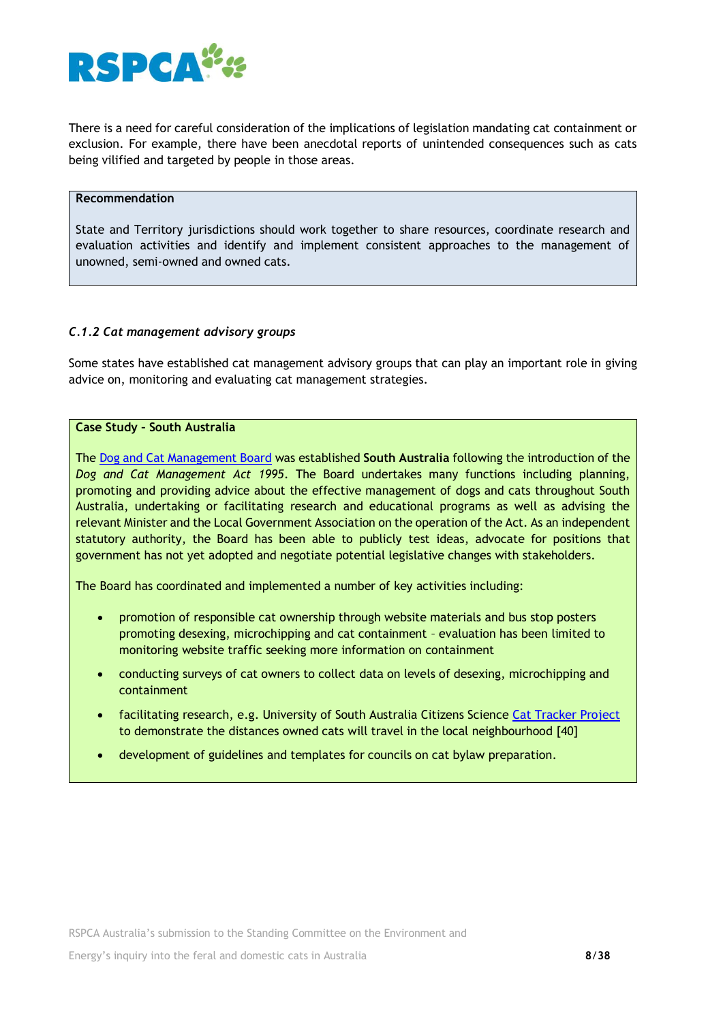

There is a need for careful consideration of the implications of legislation mandating cat containment or exclusion. For example, there have been anecdotal reports of unintended consequences such as cats being vilified and targeted by people in those areas.

## **Recommendation**

State and Territory jurisdictions should work together to share resources, coordinate research and evaluation activities and identify and implement consistent approaches to the management of unowned, semi-owned and owned cats.

## *C.1.2 Cat management advisory groups*

Some states have established cat management advisory groups that can play an important role in giving advice on, monitoring and evaluating cat management strategies.

#### **Case Study – South Australia**

The [Dog and Cat Management Board](http://www.dogandcatboard.com.au/) was established **South Australia** following the introduction of the *Dog and Cat Management Act 1995*. The Board undertakes many functions including planning, promoting and providing advice about the effective management of dogs and cats throughout South Australia, undertaking or facilitating research and educational programs as well as advising the relevant Minister and the Local Government Association on the operation of the Act. As an independent statutory authority, the Board has been able to publicly test ideas, advocate for positions that government has not yet adopted and negotiate potential legislative changes with stakeholders.

The Board has coordinated and implemented a number of key activities including:

- promotion of responsible cat ownership through website materials and bus stop posters promoting desexing, microchipping and cat containment – evaluation has been limited to monitoring website traffic seeking more information on containment
- conducting surveys of cat owners to collect data on levels of desexing, microchipping and containment
- facilitating research, e.g. University of South Australia Citizens Science [Cat Tracker Project](http://www.discoverycircle.org.au/projects/cat-tracker/) to demonstrate the distances owned cats will travel in the local neighbourhood [40]
- development of guidelines and templates for councils on cat bylaw preparation.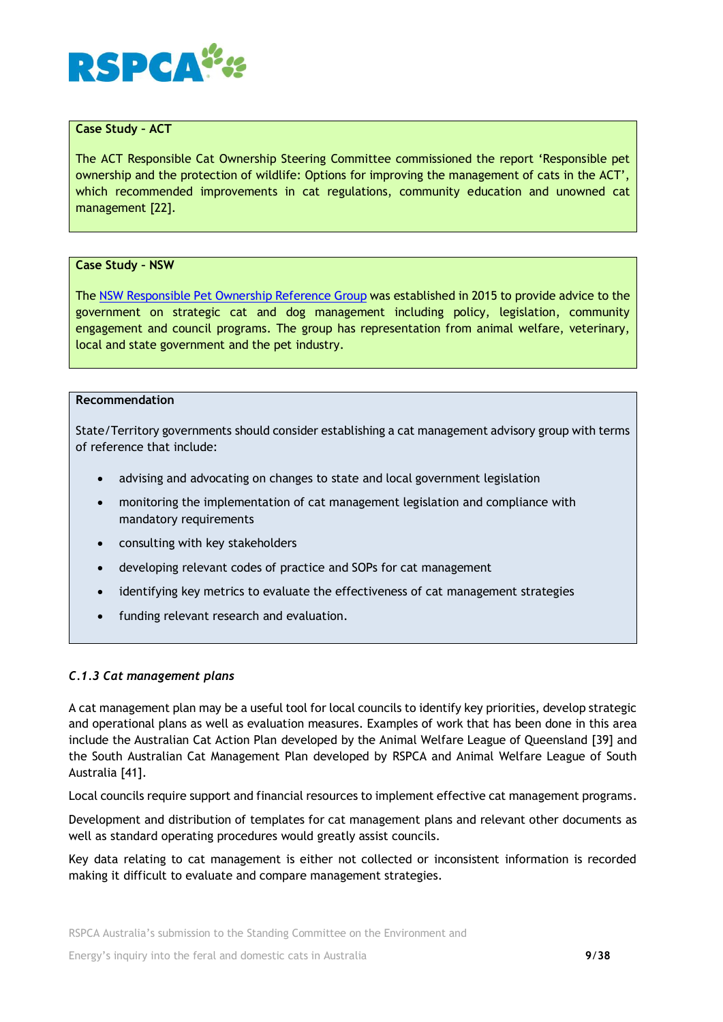

## **Case Study – ACT**

The ACT Responsible Cat Ownership Steering Committee commissioned the report 'Responsible pet ownership and the protection of wildlife: Options for improving the management of cats in the ACT', which recommended improvements in cat regulations, community education and unowned cat management [22].

#### **Case Study – NSW**

Th[e NSW Responsible Pet Ownership Reference Group](https://www.olg.nsw.gov.au/public/dogs-and-cats/companion-animal-taskforce) was established in 2015 to provide advice to the government on strategic cat and dog management including policy, legislation, community engagement and council programs. The group has representation from animal welfare, veterinary, local and state government and the pet industry.

### **Recommendation**

State/Territory governments should consider establishing a cat management advisory group with terms of reference that include:

- advising and advocating on changes to state and local government legislation
- monitoring the implementation of cat management legislation and compliance with mandatory requirements
- consulting with key stakeholders
- developing relevant codes of practice and SOPs for cat management
- identifying key metrics to evaluate the effectiveness of cat management strategies
- funding relevant research and evaluation.

#### *C.1.3 Cat management plans*

A cat management plan may be a useful tool for local councils to identify key priorities, develop strategic and operational plans as well as evaluation measures. Examples of work that has been done in this area include the Australian Cat Action Plan developed by the Animal Welfare League of Queensland [39] and the South Australian Cat Management Plan developed by RSPCA and Animal Welfare League of South Australia [41].

Local councils require support and financial resources to implement effective cat management programs.

Development and distribution of templates for cat management plans and relevant other documents as well as standard operating procedures would greatly assist councils.

Key data relating to cat management is either not collected or inconsistent information is recorded making it difficult to evaluate and compare management strategies.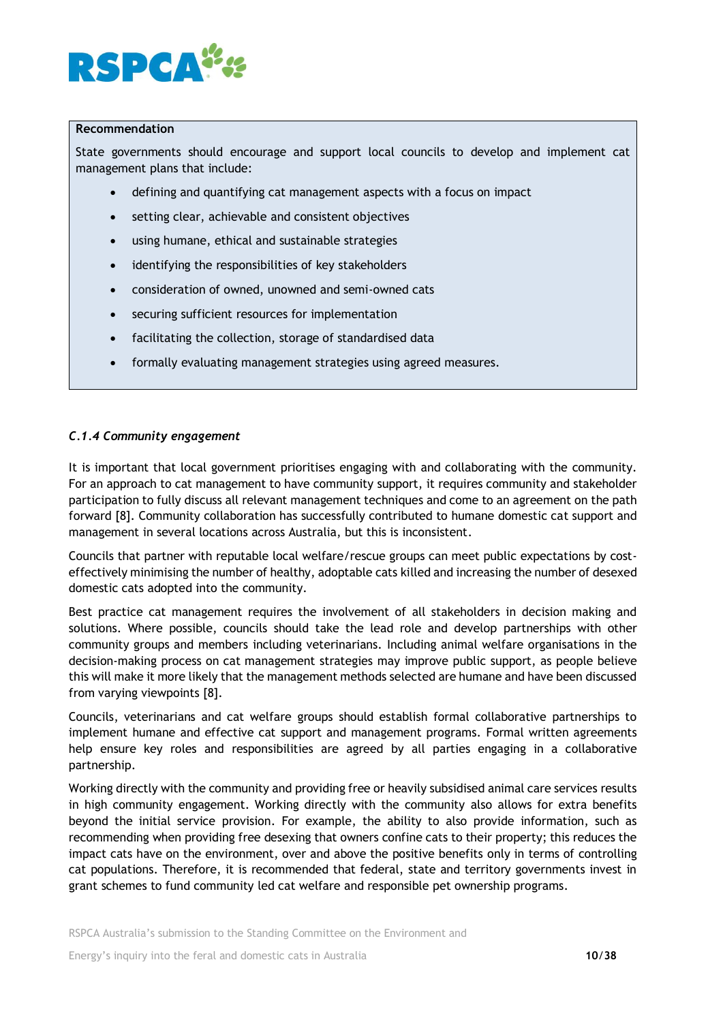

#### **Recommendation**

State governments should encourage and support local councils to develop and implement cat management plans that include:

- defining and quantifying cat management aspects with a focus on impact
- setting clear, achievable and consistent objectives
- using humane, ethical and sustainable strategies
- identifying the responsibilities of key stakeholders
- consideration of owned, unowned and semi-owned cats
- securing sufficient resources for implementation
- facilitating the collection, storage of standardised data
- formally evaluating management strategies using agreed measures.

#### *C.1.4 Community engagement*

It is important that local government prioritises engaging with and collaborating with the community. For an approach to cat management to have community support, it requires community and stakeholder participation to fully discuss all relevant management techniques and come to an agreement on the path forward [8]. Community collaboration has successfully contributed to humane domestic cat support and management in several locations across Australia, but this is inconsistent.

Councils that partner with reputable local welfare/rescue groups can meet public expectations by costeffectively minimising the number of healthy, adoptable cats killed and increasing the number of desexed domestic cats adopted into the community.

Best practice cat management requires the involvement of all stakeholders in decision making and solutions. Where possible, councils should take the lead role and develop partnerships with other community groups and members including veterinarians. Including animal welfare organisations in the decision-making process on cat management strategies may improve public support, as people believe this will make it more likely that the management methods selected are humane and have been discussed from varying viewpoints [8].

Councils, veterinarians and cat welfare groups should establish formal collaborative partnerships to implement humane and effective cat support and management programs. Formal written agreements help ensure key roles and responsibilities are agreed by all parties engaging in a collaborative partnership.

Working directly with the community and providing free or heavily subsidised animal care services results in high community engagement. Working directly with the community also allows for extra benefits beyond the initial service provision. For example, the ability to also provide information, such as recommending when providing free desexing that owners confine cats to their property; this reduces the impact cats have on the environment, over and above the positive benefits only in terms of controlling cat populations. Therefore, it is recommended that federal, state and territory governments invest in grant schemes to fund community led cat welfare and responsible pet ownership programs.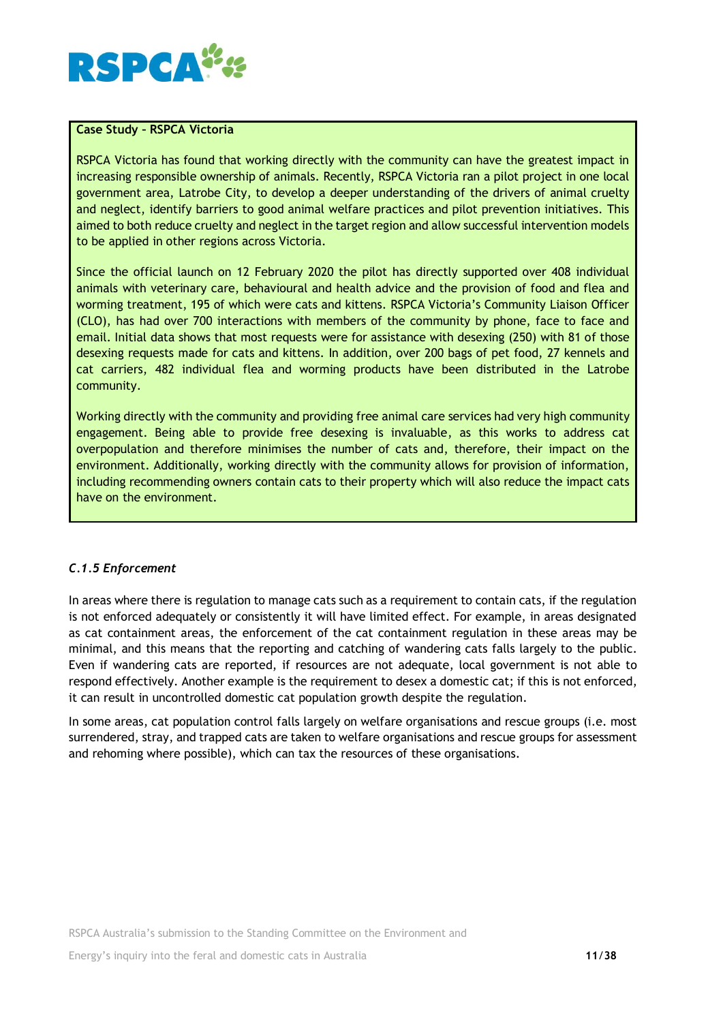

## **Case Study – RSPCA Victoria**

RSPCA Victoria has found that working directly with the community can have the greatest impact in increasing responsible ownership of animals. Recently, RSPCA Victoria ran a pilot project in one local government area, Latrobe City, to develop a deeper understanding of the drivers of animal cruelty and neglect, identify barriers to good animal welfare practices and pilot prevention initiatives. This aimed to both reduce cruelty and neglect in the target region and allow successful intervention models to be applied in other regions across Victoria.

Since the official launch on 12 February 2020 the pilot has directly supported over 408 individual animals with veterinary care, behavioural and health advice and the provision of food and flea and worming treatment, 195 of which were cats and kittens. RSPCA Victoria's Community Liaison Officer (CLO), has had over 700 interactions with members of the community by phone, face to face and email. Initial data shows that most requests were for assistance with desexing (250) with 81 of those desexing requests made for cats and kittens. In addition, over 200 bags of pet food, 27 kennels and cat carriers, 482 individual flea and worming products have been distributed in the Latrobe community.

Working directly with the community and providing free animal care services had very high community engagement. Being able to provide free desexing is invaluable, as this works to address cat overpopulation and therefore minimises the number of cats and, therefore, their impact on the environment. Additionally, working directly with the community allows for provision of information, including recommending owners contain cats to their property which will also reduce the impact cats have on the environment.

## *C.1.5 Enforcement*

In areas where there is regulation to manage cats such as a requirement to contain cats, if the regulation is not enforced adequately or consistently it will have limited effect. For example, in areas designated as cat containment areas, the enforcement of the cat containment regulation in these areas may be minimal, and this means that the reporting and catching of wandering cats falls largely to the public. Even if wandering cats are reported, if resources are not adequate, local government is not able to respond effectively. Another example is the requirement to desex a domestic cat; if this is not enforced, it can result in uncontrolled domestic cat population growth despite the regulation.

In some areas, cat population control falls largely on welfare organisations and rescue groups (i.e. most surrendered, stray, and trapped cats are taken to welfare organisations and rescue groups for assessment and rehoming where possible), which can tax the resources of these organisations.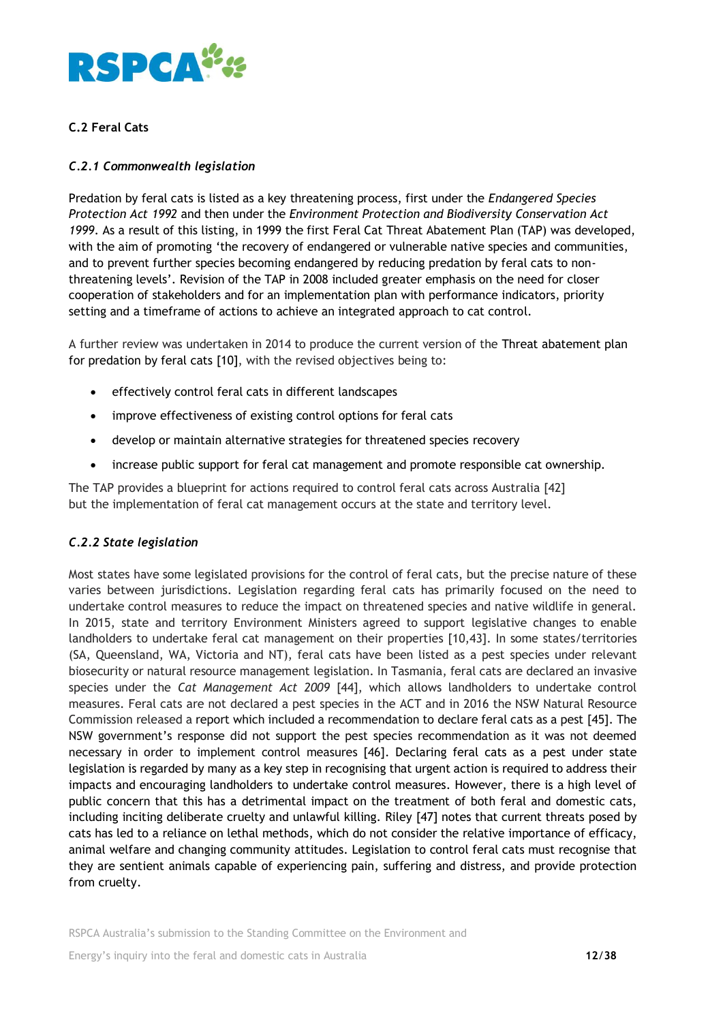

## **C.2 Feral Cats**

## *C.2.1 Commonwealth legislation*

Predation by feral cats is listed as a key threatening process, first under the *Endangered Species Protection Act 1992* and then under the *Environment Protection and Biodiversity Conservation Act 1999*. As a result of this listing, in 1999 the first Feral Cat Threat Abatement Plan (TAP) was developed, with the aim of promoting 'the recovery of endangered or vulnerable native species and communities, and to prevent further species becoming endangered by reducing predation by feral cats to nonthreatening levels'. Revision of the TAP in 2008 included greater emphasis on the need for closer cooperation of stakeholders and for an implementation plan with performance indicators, priority setting and a timeframe of actions to achieve an integrated approach to cat control.

A further review was undertaken in 2014 to produce the current version of the Threat abatement plan for predation by feral cats [10], with the revised objectives being to:

- effectively control feral cats in different landscapes
- improve effectiveness of existing control options for feral cats
- develop or maintain alternative strategies for threatened species recovery
- increase public support for feral cat management and promote responsible cat ownership.

The TAP provides a blueprint for actions required to control feral cats across Australia [42] but the implementation of feral cat management occurs at the state and territory level.

## *C.2.2 State legislation*

Most states have some legislated provisions for the control of feral cats, but the precise nature of these varies between jurisdictions. Legislation regarding feral cats has primarily focused on the need to undertake control measures to reduce the impact on threatened species and native wildlife in general. In 2015, state and territory Environment Ministers agreed to support legislative changes to enable landholders to undertake feral cat management on their properties [10,43]. In some states/territories (SA, Queensland, WA, Victoria and NT), feral cats have been listed as a pest species under relevant biosecurity or natural resource management legislation. In Tasmania, feral cats are declared an invasive species under the *Cat Management Act 2009* [44], which allows landholders to undertake control measures. Feral cats are not declared a pest species in the ACT and in 2016 the NSW Natural Resource Commission released a report which included a recommendation to declare feral cats as a pest [45]. The NSW government's response did not support the pest species recommendation as it was not deemed necessary in order to implement control measures [46]. Declaring feral cats as a pest under state legislation is regarded by many as a key step in recognising that urgent action is required to address their impacts and encouraging landholders to undertake control measures. However, there is a high level of public concern that this has a detrimental impact on the treatment of both feral and domestic cats, including inciting deliberate cruelty and unlawful killing. Riley [47] notes that current threats posed by cats has led to a reliance on lethal methods, which do not consider the relative importance of efficacy, animal welfare and changing community attitudes. Legislation to control feral cats must recognise that they are sentient animals capable of experiencing pain, suffering and distress, and provide protection from cruelty.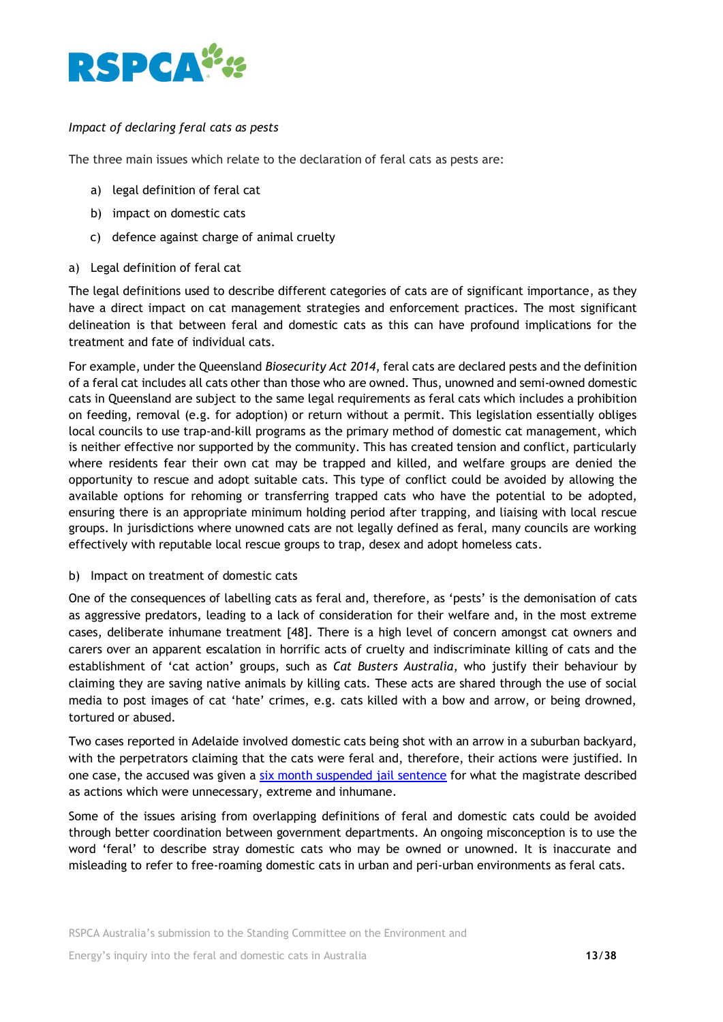

## *Impact of declaring feral cats as pests*

The three main issues which relate to the declaration of feral cats as pests are:

- a) legal definition of feral cat
- b) impact on domestic cats
- c) defence against charge of animal cruelty
- a) Legal definition of feral cat

The legal definitions used to describe different categories of cats are of significant importance, as they have a direct impact on cat management strategies and enforcement practices. The most significant delineation is that between feral and domestic cats as this can have profound implications for the treatment and fate of individual cats.

For example, under the Queensland *Biosecurity Act 2014*, feral cats are declared pests and the definition of a feral cat includes all cats other than those who are owned. Thus, unowned and semi-owned domestic cats in Queensland are subject to the same legal requirements as feral cats which includes a prohibition on feeding, removal (e.g. for adoption) or return without a permit. This legislation essentially obliges local councils to use trap-and-kill programs as the primary method of domestic cat management, which is neither effective nor supported by the community. This has created tension and conflict, particularly where residents fear their own cat may be trapped and killed, and welfare groups are denied the opportunity to rescue and adopt suitable cats. This type of conflict could be avoided by allowing the available options for rehoming or transferring trapped cats who have the potential to be adopted, ensuring there is an appropriate minimum holding period after trapping, and liaising with local rescue groups. In jurisdictions where unowned cats are not legally defined as feral, many councils are working effectively with reputable local rescue groups to trap, desex and adopt homeless cats.

b) Impact on treatment of domestic cats

One of the consequences of labelling cats as feral and, therefore, as 'pests' is the demonisation of cats as aggressive predators, leading to a lack of consideration for their welfare and, in the most extreme cases, deliberate inhumane treatment [48]. There is a high level of concern amongst cat owners and carers over an apparent escalation in horrific acts of cruelty and indiscriminate killing of cats and the establishment of 'cat action' groups, such as *Cat Busters Australia*, who justify their behaviour by claiming they are saving native animals by killing cats. These acts are shared through the use of social media to post images of cat 'hate' crimes, e.g. cats killed with a bow and arrow, or being drowned, tortured or abused.

Two cases reported in Adelaide involved domestic cats being shot with an arrow in a suburban backyard, with the perpetrators claiming that the cats were feral and, therefore, their actions were justified. In one case, the accused was given a [six month suspended jail sentence](http://www.adelaidenow.com.au/news/law-order/shannon-aubert-receives-sixmonth-suspended-jail-sentence-for-shooting-neighbours-cat-four-times-with-a-bow-and-arrow/news-story/32ba32c150427313d1dff80aa0414f86) for what the magistrate described as actions which were unnecessary, extreme and inhumane.

Some of the issues arising from overlapping definitions of feral and domestic cats could be avoided through better coordination between government departments. An ongoing misconception is to use the word 'feral' to describe stray domestic cats who may be owned or unowned. It is inaccurate and misleading to refer to free-roaming domestic cats in urban and peri-urban environments as feral cats.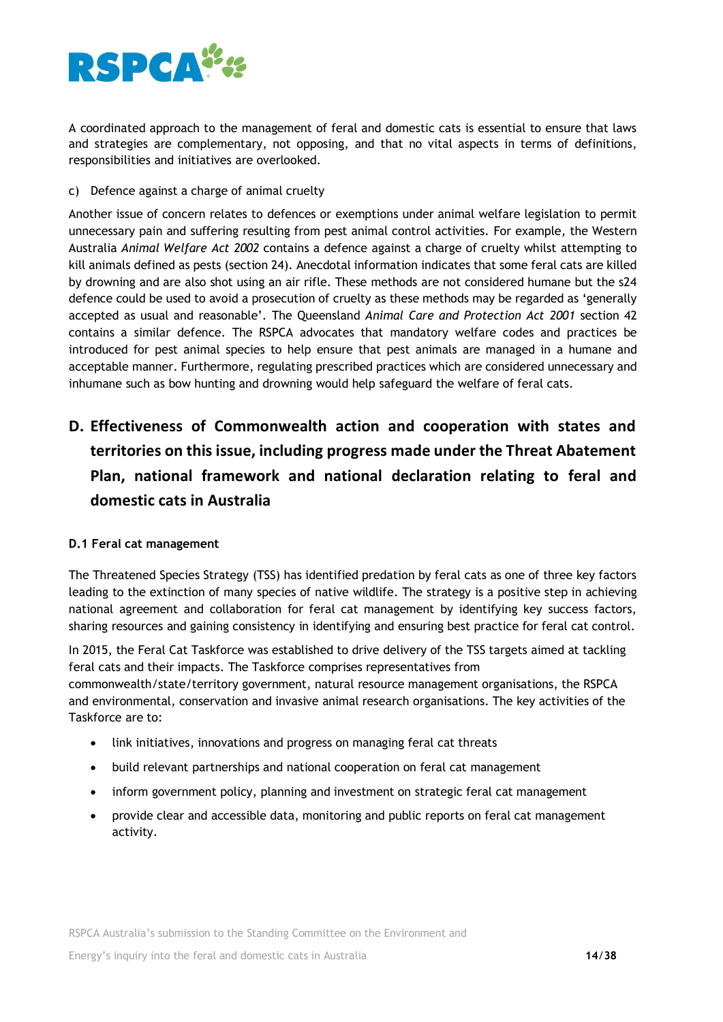

A coordinated approach to the management of feral and domestic cats is essential to ensure that laws and strategies are complementary, not opposing, and that no vital aspects in terms of definitions, responsibilities and initiatives are overlooked.

c) Defence against a charge of animal cruelty

Another issue of concern relates to defences or exemptions under animal welfare legislation to permit unnecessary pain and suffering resulting from pest animal control activities. For example, the Western Australia *Animal Welfare Act 2002* contains a defence against a charge of cruelty whilst attempting to kill animals defined as pests (section 24). Anecdotal information indicates that some feral cats are killed by drowning and are also shot using an air rifle. These methods are not considered humane but the s24 defence could be used to avoid a prosecution of cruelty as these methods may be regarded as 'generally accepted as usual and reasonable'. The Queensland *Animal Care and Protection Act 2001* section 42 contains a similar defence. The RSPCA advocates that mandatory welfare codes and practices be introduced for pest animal species to help ensure that pest animals are managed in a humane and acceptable manner. Furthermore, regulating prescribed practices which are considered unnecessary and inhumane such as bow hunting and drowning would help safeguard the welfare of feral cats.

# **D. Effectiveness of Commonwealth action and cooperation with states and territories on this issue, including progress made under the Threat Abatement Plan, national framework and national declaration relating to feral and domestic cats in Australia**

## **D.1 Feral cat management**

The Threatened Species Strategy (TSS) has identified predation by feral cats as one of three key factors leading to the extinction of many species of native wildlife. The strategy is a positive step in achieving national agreement and collaboration for feral cat management by identifying key success factors, sharing resources and gaining consistency in identifying and ensuring best practice for feral cat control.

In 2015, the Feral Cat Taskforce was established to drive delivery of the TSS targets aimed at tackling feral cats and their impacts. The Taskforce comprises representatives from commonwealth/state/territory government, natural resource management organisations, the RSPCA and environmental, conservation and invasive animal research organisations. The key activities of the Taskforce are to:

- link initiatives, innovations and progress on managing feral cat threats
- build relevant partnerships and national cooperation on feral cat management
- inform government policy, planning and investment on strategic feral cat management
- provide clear and accessible data, monitoring and public reports on feral cat management activity.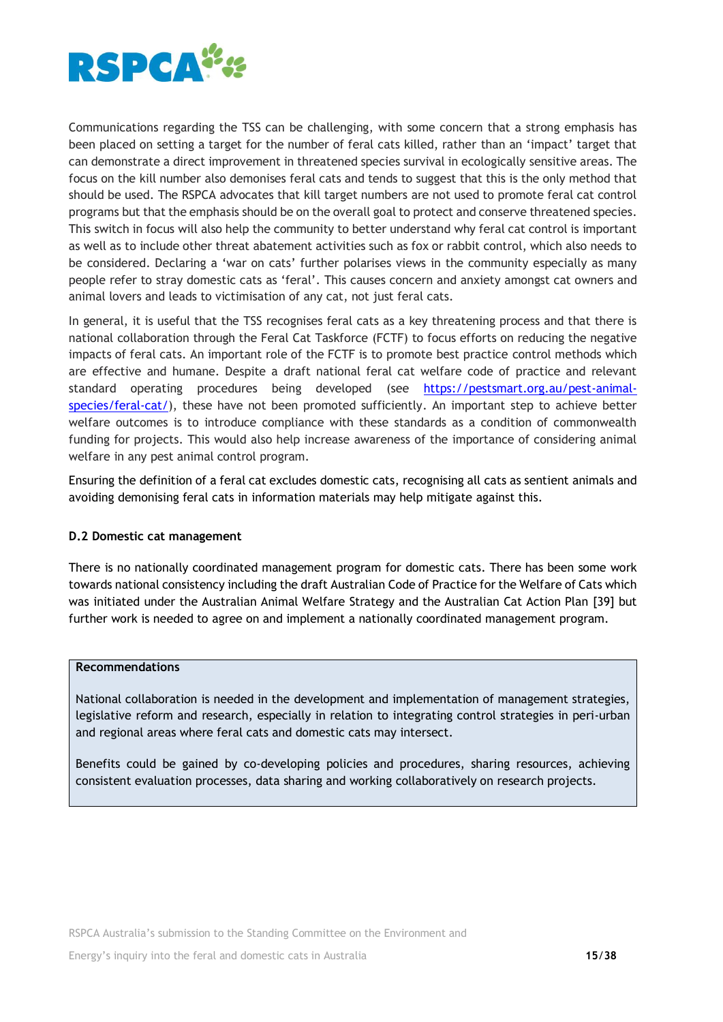

Communications regarding the TSS can be challenging, with some concern that a strong emphasis has been placed on setting a target for the number of feral cats killed, rather than an 'impact' target that can demonstrate a direct improvement in threatened species survival in ecologically sensitive areas. The focus on the kill number also demonises feral cats and tends to suggest that this is the only method that should be used. The RSPCA advocates that kill target numbers are not used to promote feral cat control programs but that the emphasis should be on the overall goal to protect and conserve threatened species. This switch in focus will also help the community to better understand why feral cat control is important as well as to include other threat abatement activities such as fox or rabbit control, which also needs to be considered. Declaring a 'war on cats' further polarises views in the community especially as many people refer to stray domestic cats as 'feral'. This causes concern and anxiety amongst cat owners and animal lovers and leads to victimisation of any cat, not just feral cats.

In general, it is useful that the TSS recognises feral cats as a key threatening process and that there is national collaboration through the Feral Cat Taskforce (FCTF) to focus efforts on reducing the negative impacts of feral cats. An important role of the FCTF is to promote best practice control methods which are effective and humane. Despite a draft national feral cat welfare code of practice and relevant standard operating procedures being developed (see [https://pestsmart.org.au/pest-animal](https://pestsmart.org.au/pest-animal-species/feral-cat/)[species/feral-cat/\)](https://pestsmart.org.au/pest-animal-species/feral-cat/), these have not been promoted sufficiently. An important step to achieve better welfare outcomes is to introduce compliance with these standards as a condition of commonwealth funding for projects. This would also help increase awareness of the importance of considering animal welfare in any pest animal control program.

Ensuring the definition of a feral cat excludes domestic cats, recognising all cats as sentient animals and avoiding demonising feral cats in information materials may help mitigate against this.

## **D.2 Domestic cat management**

There is no nationally coordinated management program for domestic cats. There has been some work towards national consistency including the draft Australian Code of Practice for the Welfare of Cats which was initiated under the Australian Animal Welfare Strategy and the Australian Cat Action Plan [39] but further work is needed to agree on and implement a nationally coordinated management program.

## **Recommendations**

National collaboration is needed in the development and implementation of management strategies, legislative reform and research, especially in relation to integrating control strategies in peri-urban and regional areas where feral cats and domestic cats may intersect.

Benefits could be gained by co-developing policies and procedures, sharing resources, achieving consistent evaluation processes, data sharing and working collaboratively on research projects.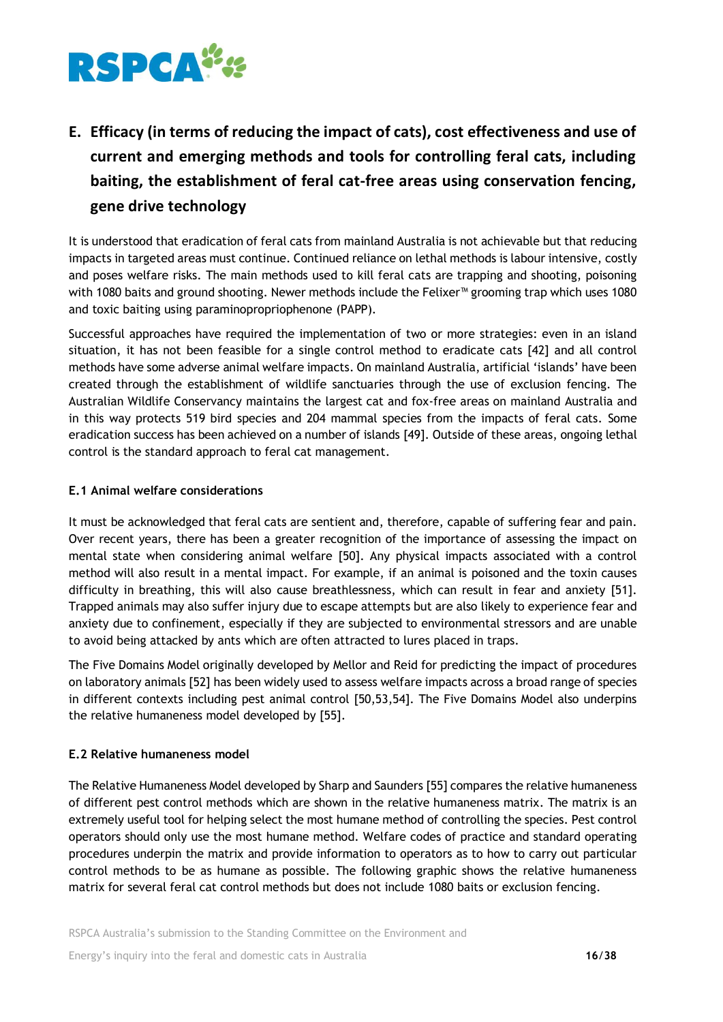

# **E. Efficacy (in terms of reducing the impact of cats), cost effectiveness and use of current and emerging methods and tools for controlling feral cats, including baiting, the establishment of feral cat-free areas using conservation fencing, gene drive technology**

It is understood that eradication of feral cats from mainland Australia is not achievable but that reducing impacts in targeted areas must continue. Continued reliance on lethal methods is labour intensive, costly and poses welfare risks. The main methods used to kill feral cats are trapping and shooting, poisoning with 1080 baits and ground shooting. Newer methods include the Felixer™ grooming trap which uses 1080 and toxic baiting using paraminopropriophenone (PAPP).

Successful approaches have required the implementation of two or more strategies: even in an island situation, it has not been feasible for a single control method to eradicate cats [42] and all control methods have some adverse animal welfare impacts. On mainland Australia, artificial 'islands' have been created through the establishment of wildlife sanctuaries through the use of exclusion fencing. The Australian Wildlife Conservancy maintains the largest cat and fox-free areas on mainland Australia and in this way protects 519 bird species and 204 mammal species from the impacts of feral cats. Some eradication success has been achieved on a number of islands [49]. Outside of these areas, ongoing lethal control is the standard approach to feral cat management.

## **E.1 Animal welfare considerations**

It must be acknowledged that feral cats are sentient and, therefore, capable of suffering fear and pain. Over recent years, there has been a greater recognition of the importance of assessing the impact on mental state when considering animal welfare [50]. Any physical impacts associated with a control method will also result in a mental impact. For example, if an animal is poisoned and the toxin causes difficulty in breathing, this will also cause breathlessness, which can result in fear and anxiety [51]. Trapped animals may also suffer injury due to escape attempts but are also likely to experience fear and anxiety due to confinement, especially if they are subjected to environmental stressors and are unable to avoid being attacked by ants which are often attracted to lures placed in traps.

The Five Domains Model originally developed by Mellor and Reid for predicting the impact of procedures on laboratory animals [52] has been widely used to assess welfare impacts across a broad range of species in different contexts including pest animal control [50,53,54]. The Five Domains Model also underpins the relative humaneness model developed by [55].

## **E.2 Relative humaneness model**

The Relative Humaneness Model developed by Sharp and Saunders [55] compares the relative humaneness of different pest control methods which are shown in the relative humaneness matrix. The matrix is an extremely useful tool for helping select the most humane method of controlling the species. Pest control operators should only use the most humane method. Welfare codes of practice and standard operating procedures underpin the matrix and provide information to operators as to how to carry out particular control methods to be as humane as possible. The following graphic shows the relative humaneness matrix for several feral cat control methods but does not include 1080 baits or exclusion fencing.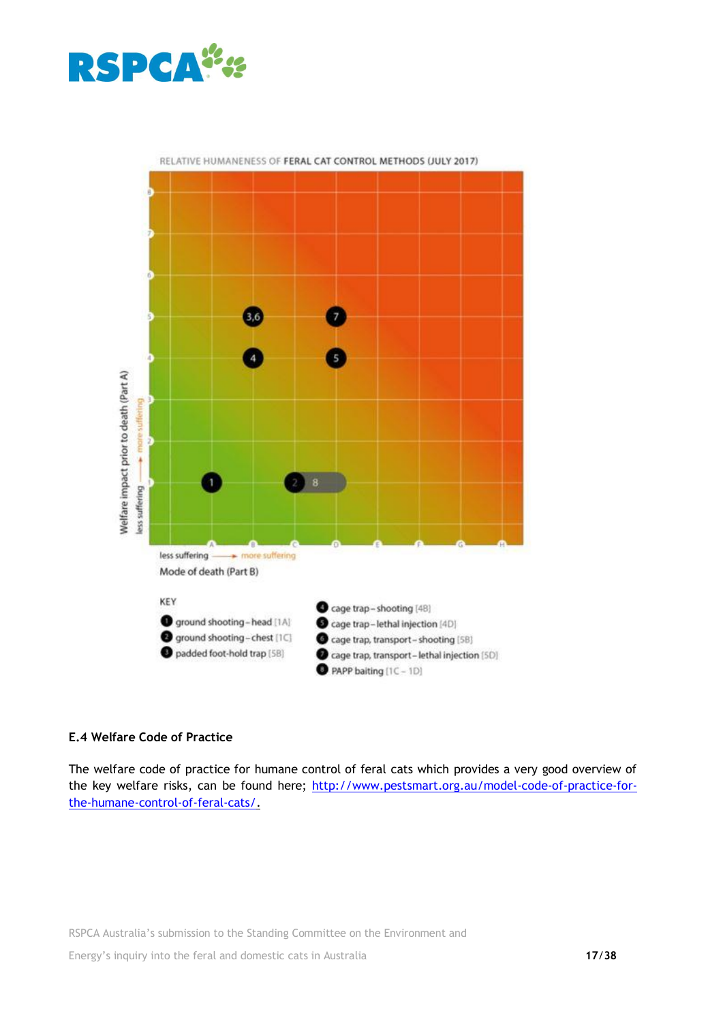



RELATIVE HUMANENESS OF FERAL CAT CONTROL METHODS (JULY 2017)

## **E.4 Welfare Code of Practice**

The welfare code of practice for humane control of feral cats which provides a very good overview of the key welfare risks, can be found here; [http://www.pestsmart.org.au/model-code-of-practice-for](http://www.pestsmart.org.au/model-code-of-practice-for-the-humane-control-of-feral-cats/)[the-humane-control-of-feral-cats/.](http://www.pestsmart.org.au/model-code-of-practice-for-the-humane-control-of-feral-cats/)

RSPCA Australia's submission to the Standing Committee on the Environment and Energy's inquiry into the feral and domestic cats in Australia **17**/**38**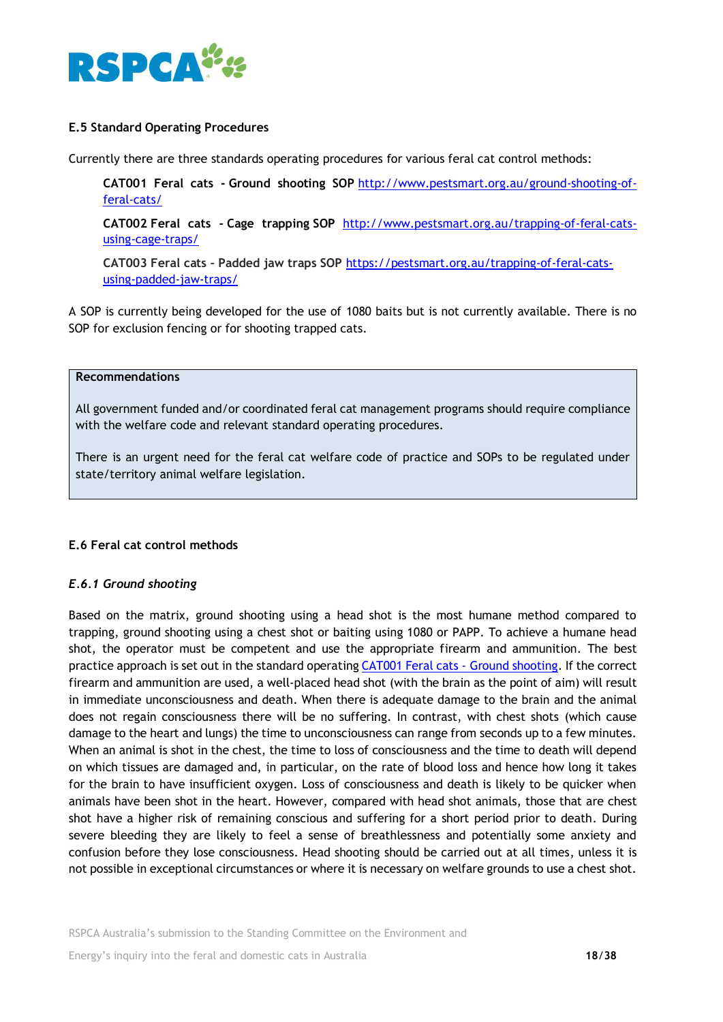

## **E.5 Standard Operating Procedures**

Currently there are three standards operating procedures for various feral cat control methods:

**CAT001 Feral cats - Ground shooting SOP** [http://www.pestsmart.org.au/ground-shooting-of](http://www.pestsmart.org.au/ground-shooting-of-feral-cats/)[feral-cats/](http://www.pestsmart.org.au/ground-shooting-of-feral-cats/)

**CAT002 Feral cats - Cage trapping SOP** [http://www.pestsmart.org.au/trapping-of-feral-cats](http://www.pestsmart.org.au/trapping-of-feral-cats-using-cage-traps/)[using-cage-traps/](http://www.pestsmart.org.au/trapping-of-feral-cats-using-cage-traps/)

**CAT003 Feral cats – Padded jaw traps SOP** [https://pestsmart.org.au/trapping-of-feral-cats](https://pestsmart.org.au/trapping-of-feral-cats-using-padded-jaw-traps/)[using-padded-jaw-traps/](https://pestsmart.org.au/trapping-of-feral-cats-using-padded-jaw-traps/)

A SOP is currently being developed for the use of 1080 baits but is not currently available. There is no SOP for exclusion fencing or for shooting trapped cats.

#### **Recommendations**

All government funded and/or coordinated feral cat management programs should require compliance with the welfare code and relevant standard operating procedures.

There is an urgent need for the feral cat welfare code of practice and SOPs to be regulated under state/territory animal welfare legislation.

## **E.6 Feral cat control methods**

#### *E.6.1 Ground shooting*

Based on the matrix, ground shooting using a head shot is the most humane method compared to trapping, ground shooting using a chest shot or baiting using 1080 or PAPP. To achieve a humane head shot, the operator must be competent and use the appropriate firearm and ammunition. The best practice approach is set out in the standard operating [CAT001 Feral cats -](http://www.pestsmart.org.au/ground-shooting-of-feral-cats/) Ground shooting. If the correct firearm and ammunition are used, a well-placed head shot (with the brain as the point of aim) will result in immediate unconsciousness and death. When there is adequate damage to the brain and the animal does not regain consciousness there will be no suffering. In contrast, with chest shots (which cause damage to the heart and lungs) the time to unconsciousness can range from seconds up to a few minutes. When an animal is shot in the chest, the time to loss of consciousness and the time to death will depend on which tissues are damaged and, in particular, on the rate of blood loss and hence how long it takes for the brain to have insufficient oxygen. Loss of consciousness and death is likely to be quicker when animals have been shot in the heart. However, compared with head shot animals, those that are chest shot have a higher risk of remaining conscious and suffering for a short period prior to death. During severe bleeding they are likely to feel a sense of breathlessness and potentially some anxiety and confusion before they lose consciousness. Head shooting should be carried out at all times, unless it is not possible in exceptional circumstances or where it is necessary on welfare grounds to use a chest shot.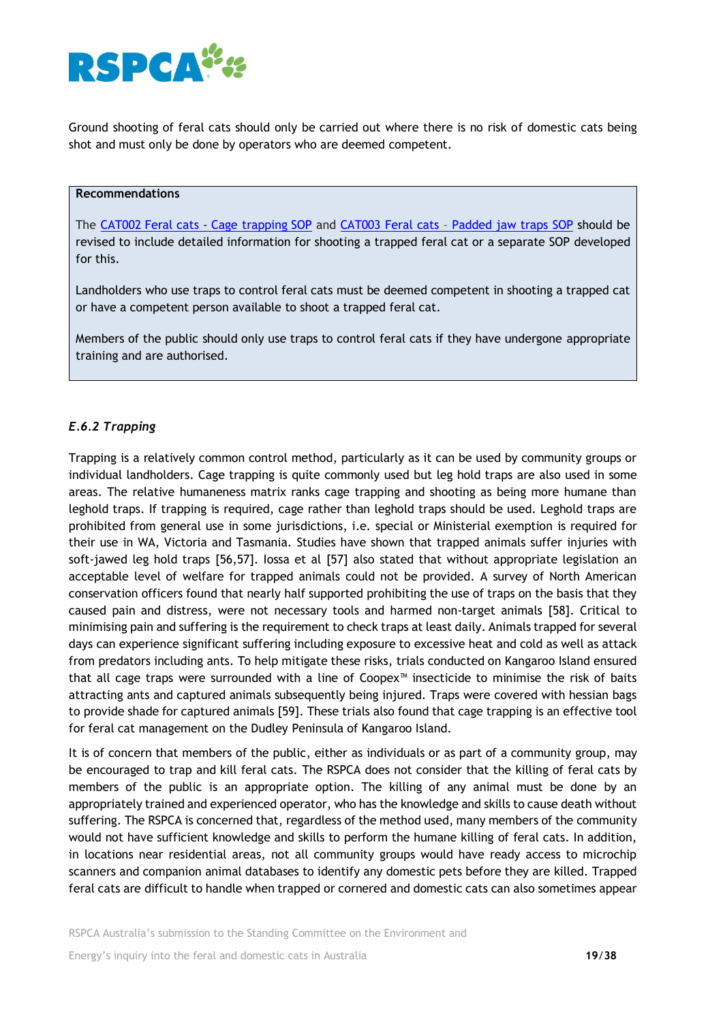

Ground shooting of feral cats should only be carried out where there is no risk of domestic cats being shot and must only be done by operators who are deemed competent.

## **Recommendations**

The CAT002 Feral cats - [Cage trapping](http://www.pestsmart.org.au/trapping-of-feral-cats-using-cage-traps/) SOP and CAT003 Feral cats – [Padded jaw traps SOP](https://pestsmart.org.au/trapping-of-feral-cats-using-padded-jaw-traps/) should be revised to include detailed information for shooting a trapped feral cat or a separate SOP developed for this.

Landholders who use traps to control feral cats must be deemed competent in shooting a trapped cat or have a competent person available to shoot a trapped feral cat.

Members of the public should only use traps to control feral cats if they have undergone appropriate training and are authorised.

## *E.6.2 Trapping*

Trapping is a relatively common control method, particularly as it can be used by community groups or individual landholders. Cage trapping is quite commonly used but leg hold traps are also used in some areas. The relative humaneness matrix ranks cage trapping and shooting as being more humane than leghold traps. If trapping is required, cage rather than leghold traps should be used. Leghold traps are prohibited from general use in some jurisdictions, i.e. special or Ministerial exemption is required for their use in WA, Victoria and Tasmania. Studies have shown that trapped animals suffer injuries with soft-jawed leg hold traps [56,57]. Iossa et al [57] also stated that without appropriate legislation an acceptable level of welfare for trapped animals could not be provided. A survey of North American conservation officers found that nearly half supported prohibiting the use of traps on the basis that they caused pain and distress, were not necessary tools and harmed non-target animals [58]. Critical to minimising pain and suffering is the requirement to check traps at least daily. Animals trapped for several days can experience significant suffering including exposure to excessive heat and cold as well as attack from predators including ants. To help mitigate these risks, trials conducted on Kangaroo Island ensured that all cage traps were surrounded with a line of Coopex™ insecticide to minimise the risk of baits attracting ants and captured animals subsequently being injured. Traps were covered with hessian bags to provide shade for captured animals [59]. These trials also found that cage trapping is an effective tool for feral cat management on the Dudley Peninsula of Kangaroo Island.

It is of concern that members of the public, either as individuals or as part of a community group, may be encouraged to trap and kill feral cats. The RSPCA does not consider that the killing of feral cats by members of the public is an appropriate option. The killing of any animal must be done by an appropriately trained and experienced operator, who has the knowledge and skills to cause death without suffering. The RSPCA is concerned that, regardless of the method used, many members of the community would not have sufficient knowledge and skills to perform the humane killing of feral cats. In addition, in locations near residential areas, not all community groups would have ready access to microchip scanners and companion animal databases to identify any domestic pets before they are killed. Trapped feral cats are difficult to handle when trapped or cornered and domestic cats can also sometimes appear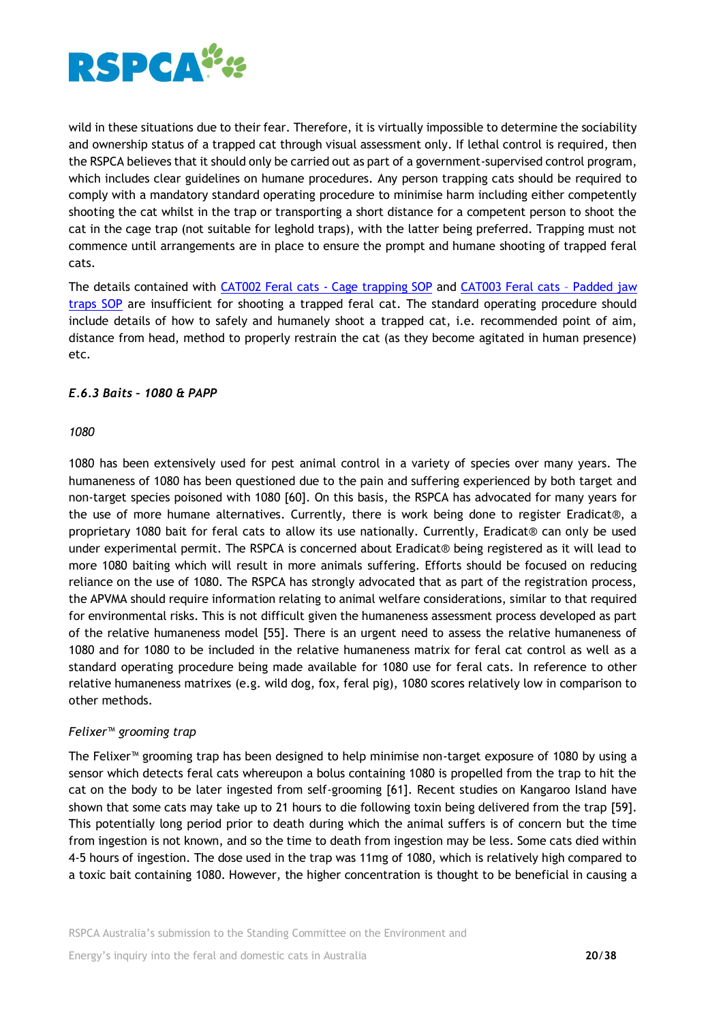

wild in these situations due to their fear. Therefore, it is virtually impossible to determine the sociability and ownership status of a trapped cat through visual assessment only. If lethal control is required, then the RSPCA believes that it should only be carried out as part of a government-supervised control program, which includes clear guidelines on humane procedures. Any person trapping cats should be required to comply with a mandatory standard operating procedure to minimise harm including either competently shooting the cat whilst in the trap or transporting a short distance for a competent person to shoot the cat in the cage trap (not suitable for leghold traps), with the latter being preferred. Trapping must not commence until arrangements are in place to ensure the prompt and humane shooting of trapped feral cats.

The details contained with CAT002 Feral cats - [Cage trapping](http://www.pestsmart.org.au/trapping-of-feral-cats-using-cage-traps/) SOP and [CAT003 Feral cats](https://pestsmart.org.au/trapping-of-feral-cats-using-padded-jaw-traps/) – Padded jaw [traps SOP](https://pestsmart.org.au/trapping-of-feral-cats-using-padded-jaw-traps/) are insufficient for shooting a trapped feral cat. The standard operating procedure should include details of how to safely and humanely shoot a trapped cat, i.e. recommended point of aim, distance from head, method to properly restrain the cat (as they become agitated in human presence) etc.

## *E.6.3 Baits – 1080 & PAPP*

#### *1080*

1080 has been extensively used for pest animal control in a variety of species over many years. The humaneness of 1080 has been questioned due to the pain and suffering experienced by both target and non-target species poisoned with 1080 [60]. On this basis, the RSPCA has advocated for many years for the use of more humane alternatives. Currently, there is work being done to register Eradicat®, a proprietary 1080 bait for feral cats to allow its use nationally. Currently, Eradicat® can only be used under experimental permit. The RSPCA is concerned about Eradicat® being registered as it will lead to more 1080 baiting which will result in more animals suffering. Efforts should be focused on reducing reliance on the use of 1080. The RSPCA has strongly advocated that as part of the registration process, the APVMA should require information relating to animal welfare considerations, similar to that required for environmental risks. This is not difficult given the humaneness assessment process developed as part of the relative humaneness model [55]. There is an urgent need to assess the relative humaneness of 1080 and for 1080 to be included in the relative humaneness matrix for feral cat control as well as a standard operating procedure being made available for 1080 use for feral cats. In reference to other relative humaneness matrixes (e.g. wild dog, fox, feral pig), 1080 scores relatively low in comparison to other methods.

## *Felixer™ grooming trap*

The Felixer™ grooming trap has been designed to help minimise non-target exposure of 1080 by using a sensor which detects feral cats whereupon a bolus containing 1080 is propelled from the trap to hit the cat on the body to be later ingested from self-grooming [61]. Recent studies on Kangaroo Island have shown that some cats may take up to 21 hours to die following toxin being delivered from the trap [59]. This potentially long period prior to death during which the animal suffers is of concern but the time from ingestion is not known, and so the time to death from ingestion may be less. Some cats died within 4-5 hours of ingestion. The dose used in the trap was 11mg of 1080, which is relatively high compared to a toxic bait containing 1080. However, the higher concentration is thought to be beneficial in causing a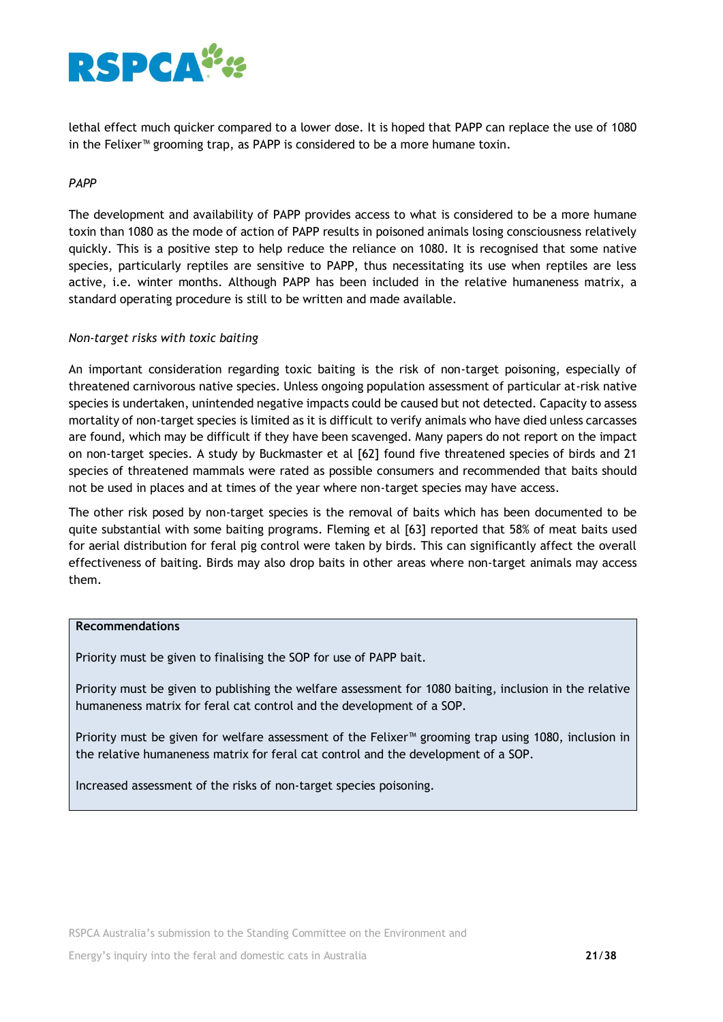

lethal effect much quicker compared to a lower dose. It is hoped that PAPP can replace the use of 1080 in the Felixer™ grooming trap, as PAPP is considered to be a more humane toxin.

### *PAPP*

The development and availability of PAPP provides access to what is considered to be a more humane toxin than 1080 as the mode of action of PAPP results in poisoned animals losing consciousness relatively quickly. This is a positive step to help reduce the reliance on 1080. It is recognised that some native species, particularly reptiles are sensitive to PAPP, thus necessitating its use when reptiles are less active, i.e. winter months. Although PAPP has been included in the relative humaneness matrix, a standard operating procedure is still to be written and made available.

#### *Non-target risks with toxic baiting*

An important consideration regarding toxic baiting is the risk of non-target poisoning, especially of threatened carnivorous native species. Unless ongoing population assessment of particular at-risk native species is undertaken, unintended negative impacts could be caused but not detected. Capacity to assess mortality of non-target species is limited as it is difficult to verify animals who have died unless carcasses are found, which may be difficult if they have been scavenged. Many papers do not report on the impact on non-target species. A study by Buckmaster et al [62] found five threatened species of birds and 21 species of threatened mammals were rated as possible consumers and recommended that baits should not be used in places and at times of the year where non-target species may have access.

The other risk posed by non-target species is the removal of baits which has been documented to be quite substantial with some baiting programs. Fleming et al [63] reported that 58% of meat baits used for aerial distribution for feral pig control were taken by birds. This can significantly affect the overall effectiveness of baiting. Birds may also drop baits in other areas where non-target animals may access them.

#### **Recommendations**

Priority must be given to finalising the SOP for use of PAPP bait.

Priority must be given to publishing the welfare assessment for 1080 baiting, inclusion in the relative humaneness matrix for feral cat control and the development of a SOP.

Priority must be given for welfare assessment of the Felixer™ grooming trap using 1080, inclusion in the relative humaneness matrix for feral cat control and the development of a SOP.

Increased assessment of the risks of non-target species poisoning.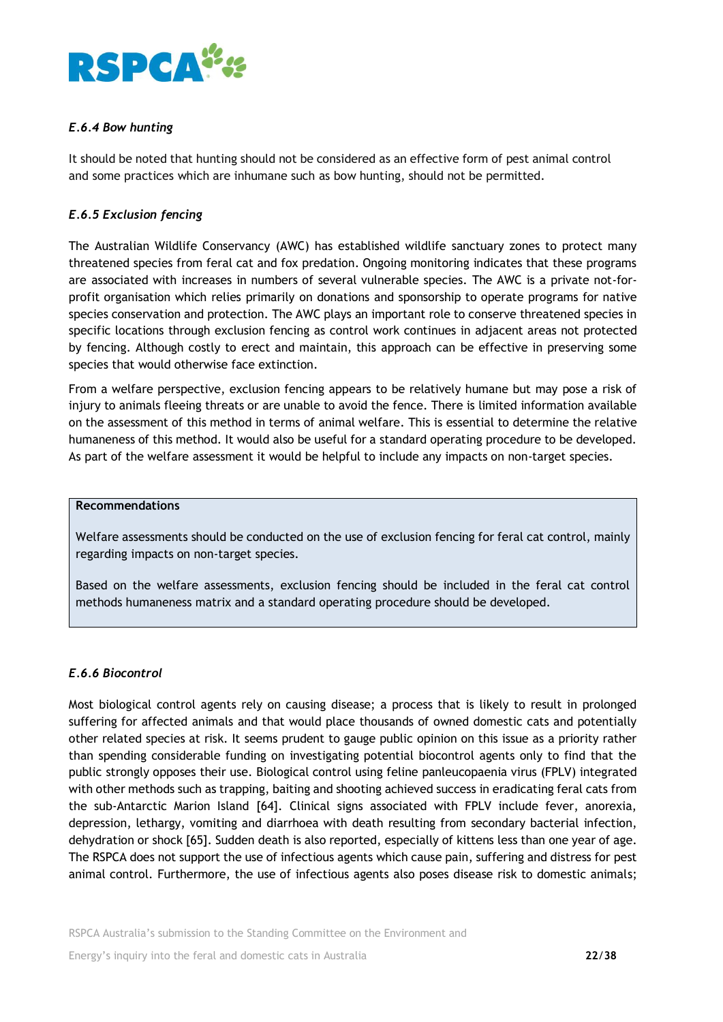

## *E.6.4 Bow hunting*

It should be noted that hunting should not be considered as an effective form of pest animal control and some practices which are inhumane such as bow hunting, should not be permitted.

## *E.6.5 Exclusion fencing*

The [Australian Wildlife Conservancy](https://www.australianwildlife.org/) (AWC) has established wildlife sanctuary zones to protect many threatened species from feral cat and fox predation. Ongoing monitoring indicates that these programs are associated with increases in numbers of several vulnerable species. The AWC is a private not-forprofit organisation which relies primarily on donations and sponsorship to operate programs for native species conservation and protection. The AWC plays an important role to conserve threatened species in specific locations through exclusion fencing as control work continues in adjacent areas not protected by fencing. Although costly to erect and maintain, this approach can be effective in preserving some species that would otherwise face extinction.

From a welfare perspective, exclusion fencing appears to be relatively humane but may pose a risk of injury to animals fleeing threats or are unable to avoid the fence. There is limited information available on the assessment of this method in terms of animal welfare. This is essential to determine the relative humaneness of this method. It would also be useful for a standard operating procedure to be developed. As part of the welfare assessment it would be helpful to include any impacts on non-target species.

### **Recommendations**

Welfare assessments should be conducted on the use of exclusion fencing for feral cat control, mainly regarding impacts on non-target species.

Based on the welfare assessments, exclusion fencing should be included in the feral cat control methods humaneness matrix and a standard operating procedure should be developed.

## *E.6.6 Biocontrol*

Most biological control agents rely on causing disease; a process that is likely to result in prolonged suffering for affected animals and that would place thousands of owned domestic cats and potentially other related species at risk. It seems prudent to gauge public opinion on this issue as a priority rather than spending considerable funding on investigating potential biocontrol agents only to find that the public strongly opposes their use. Biological control using feline panleucopaenia virus (FPLV) integrated with other methods such as trapping, baiting and shooting achieved success in eradicating feral cats from the sub-Antarctic Marion Island [64]. Clinical signs associated with FPLV include fever, anorexia, depression, lethargy, vomiting and diarrhoea with death resulting from secondary bacterial infection, dehydration or shock [65]. Sudden death is also reported, especially of kittens less than one year of age. The RSPCA does not support the use of infectious agents which cause pain, suffering and distress for pest animal control. Furthermore, the use of infectious agents also poses disease risk to domestic animals;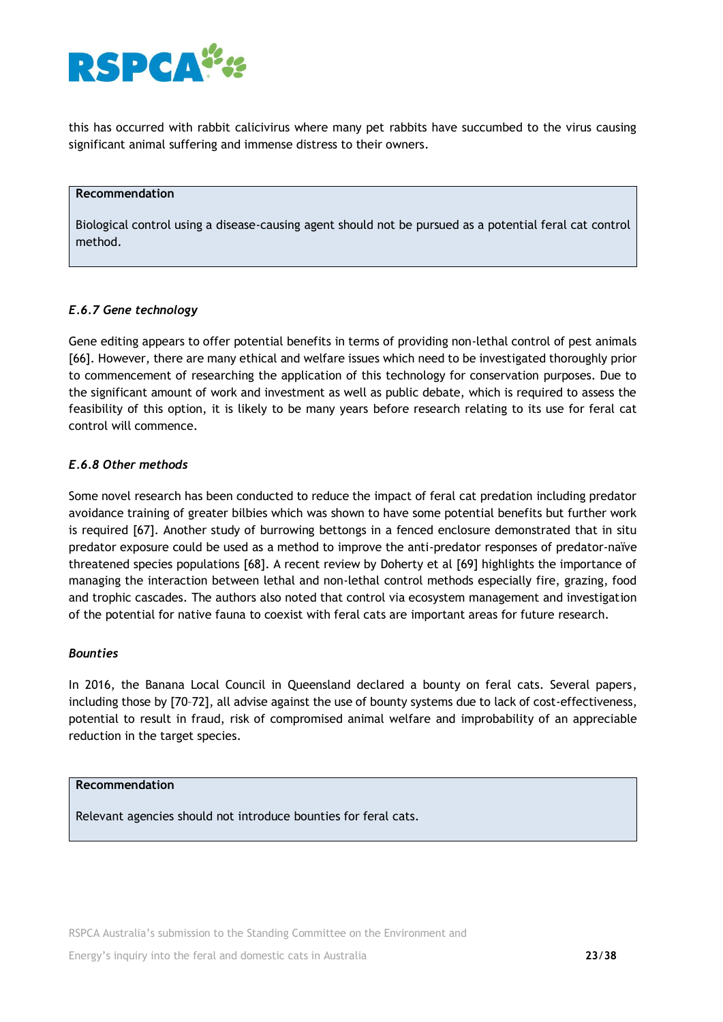

this has occurred with rabbit calicivirus where many pet rabbits have succumbed to the virus causing significant animal suffering and immense distress to their owners.

#### **Recommendation**

Biological control using a disease-causing agent should not be pursued as a potential feral cat control method.

#### *E.6.7 Gene technology*

Gene editing appears to offer potential benefits in terms of providing non-lethal control of pest animals [66]. However, there are many ethical and welfare issues which need to be investigated thoroughly prior to commencement of researching the application of this technology for conservation purposes. Due to the significant amount of work and investment as well as public debate, which is required to assess the feasibility of this option, it is likely to be many years before research relating to its use for feral cat control will commence.

### *E.6.8 Other methods*

Some novel research has been conducted to reduce the impact of feral cat predation including predator avoidance training of greater bilbies which was shown to have some potential benefits but further work is required [67]. Another study of burrowing bettongs in a fenced enclosure demonstrated that in situ predator exposure could be used as a method to improve the anti-predator responses of predator-naïve threatened species populations [68]. A recent review by Doherty et al [69] highlights the importance of managing the interaction between lethal and non-lethal control methods especially fire, grazing, food and trophic cascades. The authors also noted that control via ecosystem management and investigation of the potential for native fauna to coexist with feral cats are important areas for future research.

#### *Bounties*

In 2016, the Banana Local Council in Queensland declared a bounty on feral cats. Several papers, including those by [70–72], all advise against the use of bounty systems due to lack of cost-effectiveness, potential to result in fraud, risk of compromised animal welfare and improbability of an appreciable reduction in the target species.

#### **Recommendation**

Relevant agencies should not introduce bounties for feral cats.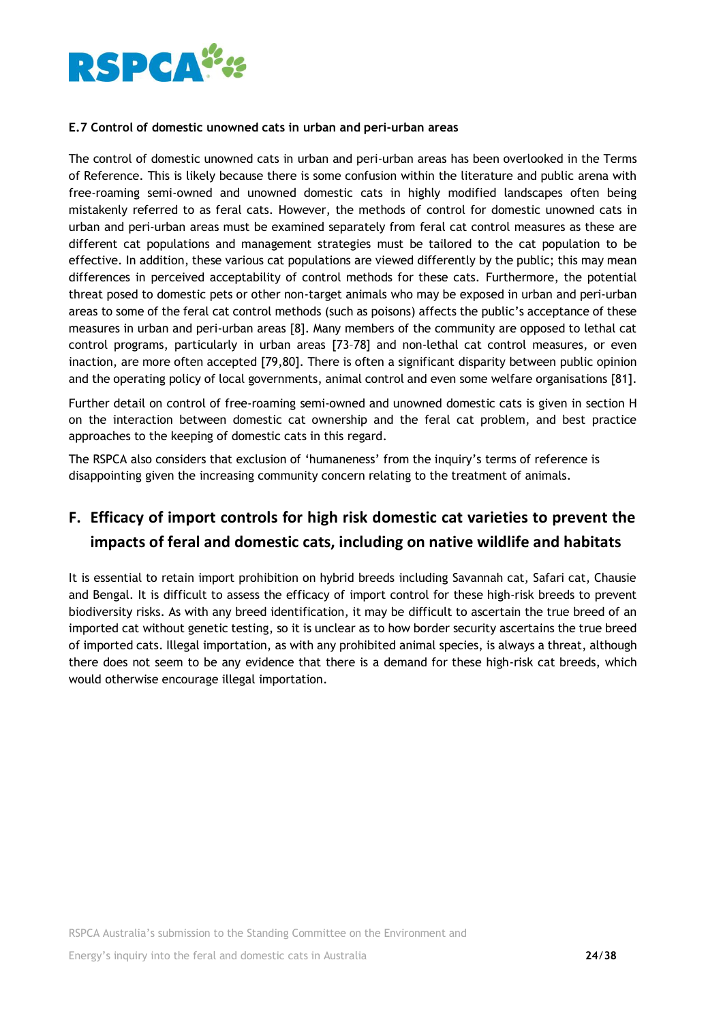

## **E.7 Control of domestic unowned cats in urban and peri-urban areas**

The control of domestic unowned cats in urban and peri-urban areas has been overlooked in the Terms of Reference. This is likely because there is some confusion within the literature and public arena with free-roaming semi-owned and unowned domestic cats in highly modified landscapes often being mistakenly referred to as feral cats. However, the methods of control for domestic unowned cats in urban and peri-urban areas must be examined separately from feral cat control measures as these are different cat populations and management strategies must be tailored to the cat population to be effective. In addition, these various cat populations are viewed differently by the public; this may mean differences in perceived acceptability of control methods for these cats. Furthermore, the potential threat posed to domestic pets or other non-target animals who may be exposed in urban and peri-urban areas to some of the feral cat control methods (such as poisons) affects the public's acceptance of these measures in urban and peri-urban areas [8]. Many members of the community are opposed to lethal cat control programs, particularly in urban areas [73–78] and non-lethal cat control measures, or even inaction, are more often accepted [79,80]. There is often a significant disparity between public opinion and the operating policy of local governments, animal control and even some welfare organisations [81].

Further detail on control of free-roaming semi-owned and unowned domestic cats is given in section H on the interaction between domestic cat ownership and the feral cat problem, and best practice approaches to the keeping of domestic cats in this regard.

The RSPCA also considers that exclusion of 'humaneness' from the inquiry's terms of reference is disappointing given the increasing community concern relating to the treatment of animals.

# **F. Efficacy of import controls for high risk domestic cat varieties to prevent the impacts of feral and domestic cats, including on native wildlife and habitats**

It is essential to retain import prohibition on hybrid breeds including Savannah cat, Safari cat, Chausie and Bengal. It is difficult to assess the efficacy of import control for these high-risk breeds to prevent biodiversity risks. As with any breed identification, it may be difficult to ascertain the true breed of an imported cat without genetic testing, so it is unclear as to how border security ascertains the true breed of imported cats. Illegal importation, as with any prohibited animal species, is always a threat, although there does not seem to be any evidence that there is a demand for these high-risk cat breeds, which would otherwise encourage illegal importation.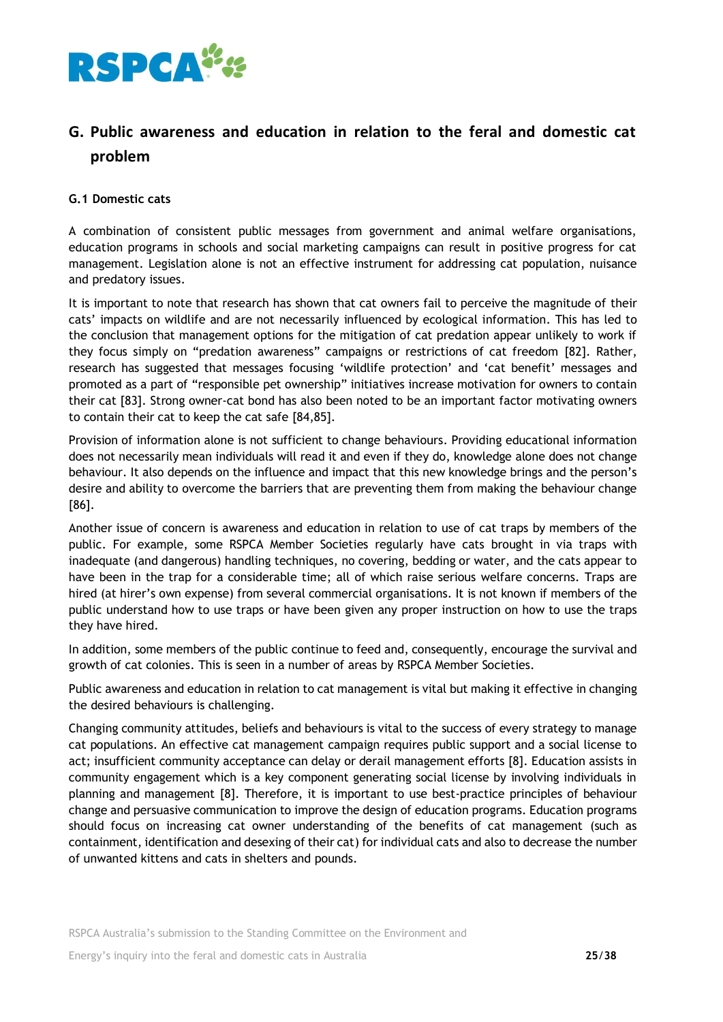

# **G. Public awareness and education in relation to the feral and domestic cat problem**

## **G.1 Domestic cats**

A combination of consistent public messages from government and animal welfare organisations, education programs in schools and social marketing campaigns can result in positive progress for cat management. Legislation alone is not an effective instrument for addressing cat population, nuisance and predatory issues.

It is important to note that research has shown that cat owners fail to perceive the magnitude of their cats' impacts on wildlife and are not necessarily influenced by ecological information. This has led to the conclusion that management options for the mitigation of cat predation appear unlikely to work if they focus simply on "predation awareness" campaigns or restrictions of cat freedom [82]. Rather, research has suggested that messages focusing 'wildlife protection' and 'cat benefit' messages and promoted as a part of "responsible pet ownership" initiatives increase motivation for owners to contain their cat [83]. Strong owner-cat bond has also been noted to be an important factor motivating owners to contain their cat to keep the cat safe [84,85].

Provision of information alone is not sufficient to change behaviours. Providing educational information does not necessarily mean individuals will read it and even if they do, knowledge alone does not change behaviour. It also depends on the influence and impact that this new knowledge brings and the person's desire and ability to overcome the barriers that are preventing them from making the behaviour change [86].

Another issue of concern is awareness and education in relation to use of cat traps by members of the public. For example, some RSPCA Member Societies regularly have cats brought in via traps with inadequate (and dangerous) handling techniques, no covering, bedding or water, and the cats appear to have been in the trap for a considerable time; all of which raise serious welfare concerns. Traps are hired (at hirer's own expense) from several commercial organisations. It is not known if members of the public understand how to use traps or have been given any proper instruction on how to use the traps they have hired.

In addition, some members of the public continue to feed and, consequently, encourage the survival and growth of cat colonies. This is seen in a number of areas by RSPCA Member Societies.

Public awareness and education in relation to cat management is vital but making it effective in changing the desired behaviours is challenging.

Changing community attitudes, beliefs and behaviours is vital to the success of every strategy to manage cat populations. An effective cat management campaign requires public support and a social license to act; insufficient community acceptance can delay or derail management efforts [8]. Education assists in community engagement which is a key component generating social license by involving individuals in planning and management [8]. Therefore, it is important to use best-practice principles of behaviour change and persuasive communication to improve the design of education programs. Education programs should focus on increasing cat owner understanding of the benefits of cat management (such as containment, identification and desexing of their cat) for individual cats and also to decrease the number of unwanted kittens and cats in shelters and pounds.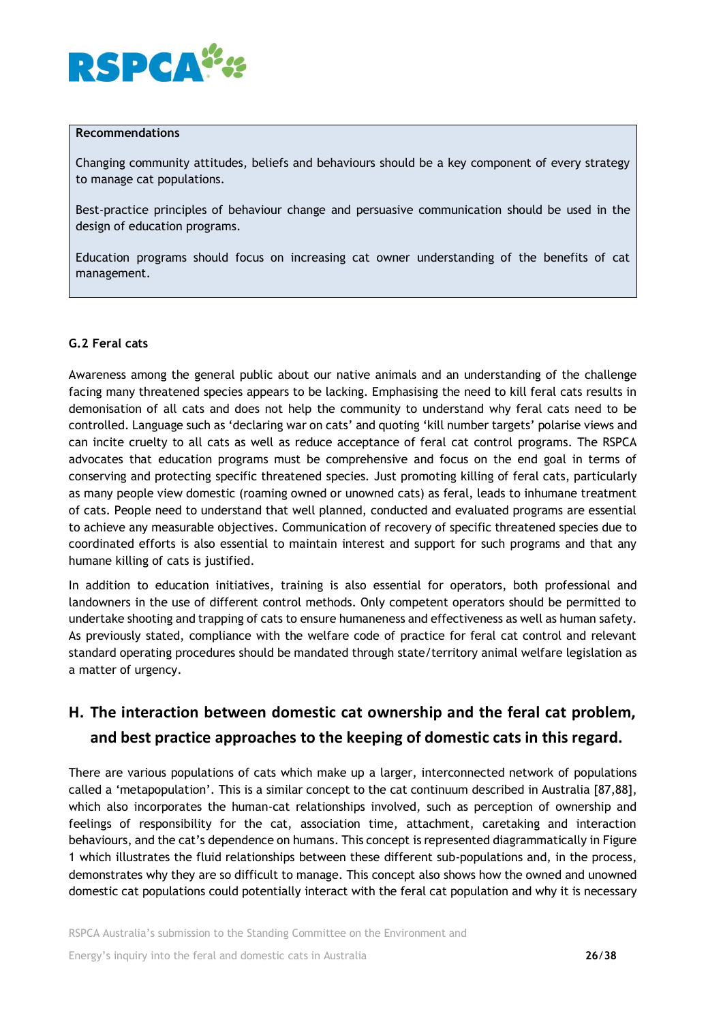

#### **Recommendations**

Changing community attitudes, beliefs and behaviours should be a key component of every strategy to manage cat populations.

Best-practice principles of behaviour change and persuasive communication should be used in the design of education programs.

Education programs should focus on increasing cat owner understanding of the benefits of cat management.

## **G.2 Feral cats**

Awareness among the general public about our native animals and an understanding of the challenge facing many threatened species appears to be lacking. Emphasising the need to kill feral cats results in demonisation of all cats and does not help the community to understand why feral cats need to be controlled. Language such as 'declaring war on cats' and quoting 'kill number targets' polarise views and can incite cruelty to all cats as well as reduce acceptance of feral cat control programs. The RSPCA advocates that education programs must be comprehensive and focus on the end goal in terms of conserving and protecting specific threatened species. Just promoting killing of feral cats, particularly as many people view domestic (roaming owned or unowned cats) as feral, leads to inhumane treatment of cats. People need to understand that well planned, conducted and evaluated programs are essential to achieve any measurable objectives. Communication of recovery of specific threatened species due to coordinated efforts is also essential to maintain interest and support for such programs and that any humane killing of cats is justified.

In addition to education initiatives, training is also essential for operators, both professional and landowners in the use of different control methods. Only competent operators should be permitted to undertake shooting and trapping of cats to ensure humaneness and effectiveness as well as human safety. As previously stated, compliance with the welfare code of practice for feral cat control and relevant standard operating procedures should be mandated through state/territory animal welfare legislation as a matter of urgency.

# **H. The interaction between domestic cat ownership and the feral cat problem, and best practice approaches to the keeping of domestic cats in this regard.**

There are various populations of cats which make up a larger, interconnected network of populations called a 'metapopulation'. This is a similar concept to the cat continuum described in Australia [87,88], which also incorporates the human-cat relationships involved, such as perception of ownership and feelings of responsibility for the cat, association time, attachment, caretaking and interaction behaviours, and the cat's dependence on humans. This concept is represented diagrammatically in Figure 1 which illustrates the fluid relationships between these different sub-populations and, in the process, demonstrates why they are so difficult to manage. This concept also shows how the owned and unowned domestic cat populations could potentially interact with the feral cat population and why it is necessary

RSPCA Australia's submission to the Standing Committee on the Environment and

Energy's inquiry into the feral and domestic cats in Australia **26**/**38**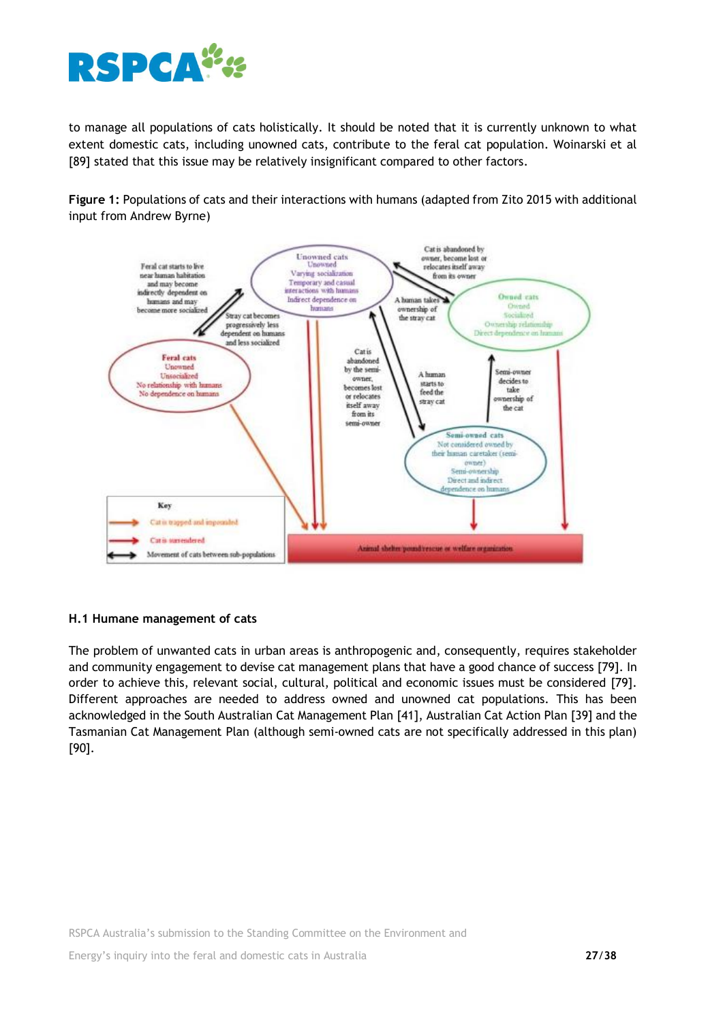

to manage all populations of cats holistically. It should be noted that it is currently unknown to what extent domestic cats, including unowned cats, contribute to the feral cat population. Woinarski et al [89] stated that this issue may be relatively insignificant compared to other factors.

**Figure 1:** Populations of cats and their interactions with humans (adapted from Zito 2015 with additional input from Andrew Byrne)



## **H.1 Humane management of cats**

The problem of unwanted cats in urban areas is anthropogenic and, consequently, requires stakeholder and community engagement to devise cat management plans that have a good chance of success [79]. In order to achieve this, relevant social, cultural, political and economic issues must be considered [79]. Different approaches are needed to address owned and unowned cat populations. This has been acknowledged in the South Australian Cat Management Plan [41], Australian Cat Action Plan [39] and the Tasmanian Cat Management Plan (although semi-owned cats are not specifically addressed in this plan) [90].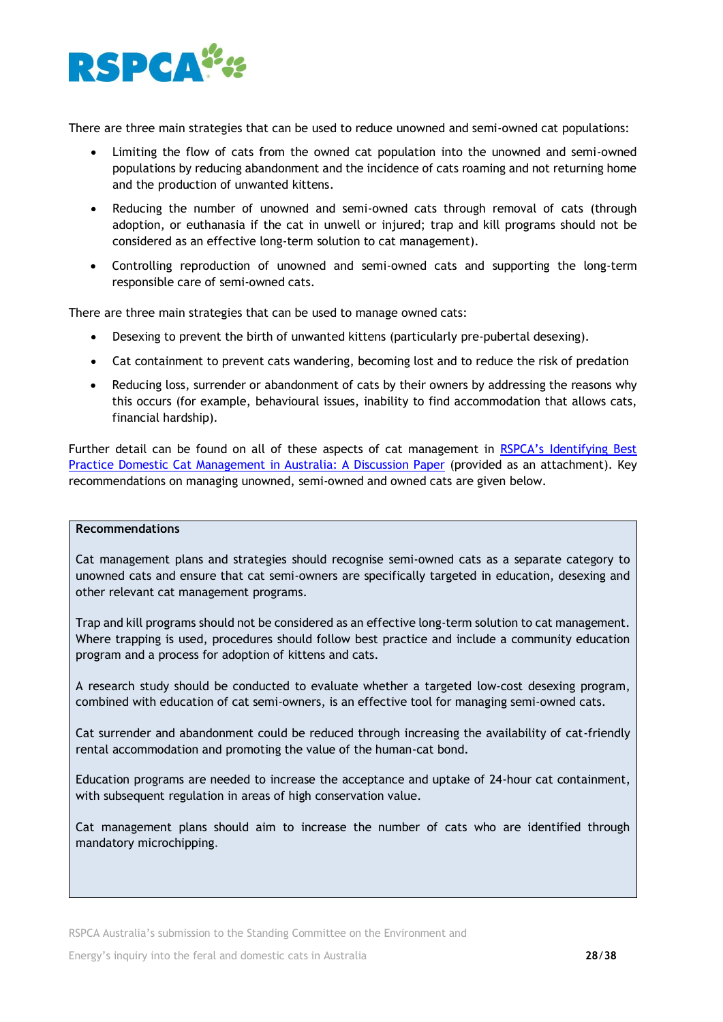

There are three main strategies that can be used to reduce unowned and semi-owned cat populations:

- Limiting the flow of cats from the owned cat population into the unowned and semi-owned populations by reducing abandonment and the incidence of cats roaming and not returning home and the production of unwanted kittens.
- Reducing the number of unowned and semi-owned cats through removal of cats (through adoption, or euthanasia if the cat in unwell or injured; trap and kill programs should not be considered as an effective long-term solution to cat management).
- Controlling reproduction of unowned and semi-owned cats and supporting the long-term responsible care of semi-owned cats.

There are three main strategies that can be used to manage owned cats:

- Desexing to prevent the birth of unwanted kittens (particularly pre-pubertal desexing).
- Cat containment to prevent cats wandering, becoming lost and to reduce the risk of predation
- Reducing loss, surrender or abandonment of cats by their owners by addressing the reasons why this occurs (for example, behavioural issues, inability to find accommodation that allows cats, financial hardship).

Further detail can be found on all of these aspects of cat management in RSPCA's [Identifying Best](https://kb.rspca.org.au/bfd_download/identifying-best-practice-domestic-cat-management-in-australia-may-2018/)  [Practice Domestic Cat Management in Australia: A Discussion Paper](https://kb.rspca.org.au/bfd_download/identifying-best-practice-domestic-cat-management-in-australia-may-2018/) (provided as an attachment). Key recommendations on managing unowned, semi-owned and owned cats are given below.

#### **Recommendations**

Cat management plans and strategies should recognise semi-owned cats as a separate category to unowned cats and ensure that cat semi-owners are specifically targeted in education, desexing and other relevant cat management programs.

Trap and kill programs should not be considered as an effective long-term solution to cat management. Where trapping is used, procedures should follow best practice and include a community education program and a process for adoption of kittens and cats.

A research study should be conducted to evaluate whether a targeted low-cost desexing program, combined with education of cat semi-owners, is an effective tool for managing semi-owned cats.

Cat surrender and abandonment could be reduced through increasing the availability of cat-friendly rental accommodation and promoting the value of the human-cat bond.

Education programs are needed to increase the acceptance and uptake of 24-hour cat containment, with subsequent regulation in areas of high conservation value.

Cat management plans should aim to increase the number of cats who are identified through mandatory microchipping*.*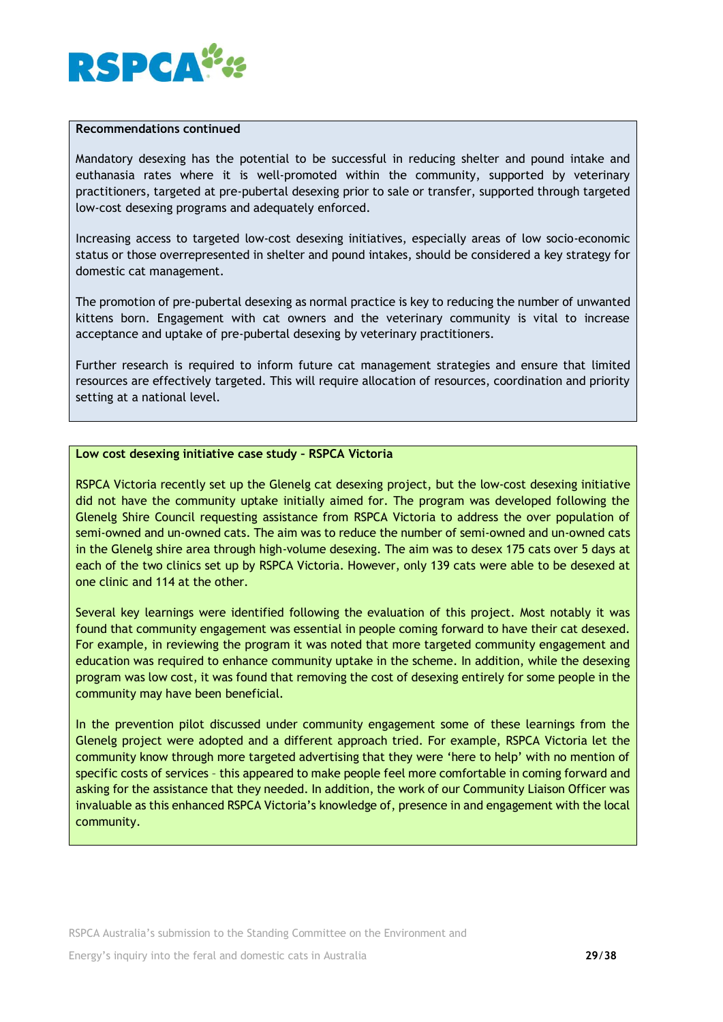

#### **Recommendations continued**

Mandatory desexing has the potential to be successful in reducing shelter and pound intake and euthanasia rates where it is well-promoted within the community, supported by veterinary practitioners, targeted at pre-pubertal desexing prior to sale or transfer, supported through targeted low-cost desexing programs and adequately enforced.

Increasing access to targeted low-cost desexing initiatives, especially areas of low socio-economic status or those overrepresented in shelter and pound intakes, should be considered a key strategy for domestic cat management.

The promotion of pre-pubertal desexing as normal practice is key to reducing the number of unwanted kittens born. Engagement with cat owners and the veterinary community is vital to increase acceptance and uptake of pre-pubertal desexing by veterinary practitioners.

Further research is required to inform future cat management strategies and ensure that limited resources are effectively targeted. This will require allocation of resources, coordination and priority setting at a national level.

#### **Low cost desexing initiative case study – RSPCA Victoria**

RSPCA Victoria recently set up the Glenelg cat desexing project, but the low-cost desexing initiative did not have the community uptake initially aimed for. The program was developed following the Glenelg Shire Council requesting assistance from RSPCA Victoria to address the over population of semi-owned and un-owned cats. The aim was to reduce the number of semi-owned and un-owned cats in the Glenelg shire area through high-volume desexing. The aim was to desex 175 cats over 5 days at each of the two clinics set up by RSPCA Victoria. However, only 139 cats were able to be desexed at one clinic and 114 at the other.

Several key learnings were identified following the evaluation of this project. Most notably it was found that community engagement was essential in people coming forward to have their cat desexed. For example, in reviewing the program it was noted that more targeted community engagement and education was required to enhance community uptake in the scheme. In addition, while the desexing program was low cost, it was found that removing the cost of desexing entirely for some people in the community may have been beneficial.

In the prevention pilot discussed under community engagement some of these learnings from the Glenelg project were adopted and a different approach tried. For example, RSPCA Victoria let the community know through more targeted advertising that they were 'here to help' with no mention of specific costs of services – this appeared to make people feel more comfortable in coming forward and asking for the assistance that they needed. In addition, the work of our Community Liaison Officer was invaluable as this enhanced RSPCA Victoria's knowledge of, presence in and engagement with the local community.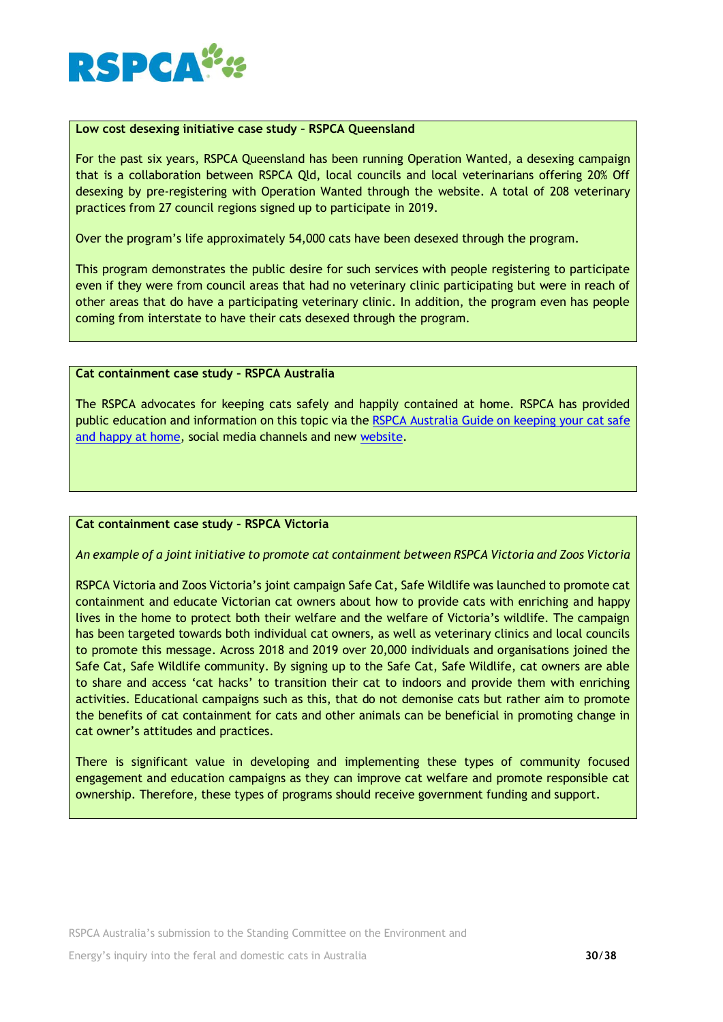

### **Low cost desexing initiative case study – RSPCA Queensland**

For the past six years, RSPCA Queensland has been running Operation Wanted, a desexing campaign that is a collaboration between RSPCA Qld, local councils and local veterinarians offering 20% Off desexing by pre-registering with Operation Wanted through the website. A total of 208 veterinary practices from 27 council regions signed up to participate in 2019.

Over the program's life approximately 54,000 cats have been desexed through the program.

This program demonstrates the public desire for such services with people registering to participate even if they were from council areas that had no veterinary clinic participating but were in reach of other areas that do have a participating veterinary clinic. In addition, the program even has people coming from interstate to have their cats desexed through the program.

#### **Cat containment case study – RSPCA Australia**

The RSPCA advocates for keeping cats safely and happily contained at home. RSPCA has provided public education and information on this topic via the [RSPCA Australia Guide on keeping your cat safe](https://kb.rspca.org.au/wp-content/uploads/2019/08/Keeping-your-cat-safe-and-happy-at-home-Jul-2019.pdf)  [and happy at home,](https://kb.rspca.org.au/wp-content/uploads/2019/08/Keeping-your-cat-safe-and-happy-at-home-Jul-2019.pdf) social media channels and new [website.](https://safeandhappycats.com.au/)

#### **Cat containment case study – RSPCA Victoria**

*An example of a joint initiative to promote cat containment between RSPCA Victoria and Zoos Victoria*

RSPCA Victoria and Zoos Victoria's joint campaign Safe Cat, Safe Wildlife was launched to promote cat containment and educate Victorian cat owners about how to provide cats with enriching and happy lives in the home to protect both their welfare and the welfare of Victoria's wildlife. The campaign has been targeted towards both individual cat owners, as well as veterinary clinics and local councils to promote this message. Across 2018 and 2019 over 20,000 individuals and organisations joined the Safe Cat, Safe Wildlife community. By signing up to the Safe Cat, Safe Wildlife, cat owners are able to share and access 'cat hacks' to transition their cat to indoors and provide them with enriching activities. Educational campaigns such as this, that do not demonise cats but rather aim to promote the benefits of cat containment for cats and other animals can be beneficial in promoting change in cat owner's attitudes and practices.

There is significant value in developing and implementing these types of community focused engagement and education campaigns as they can improve cat welfare and promote responsible cat ownership. Therefore, these types of programs should receive government funding and support.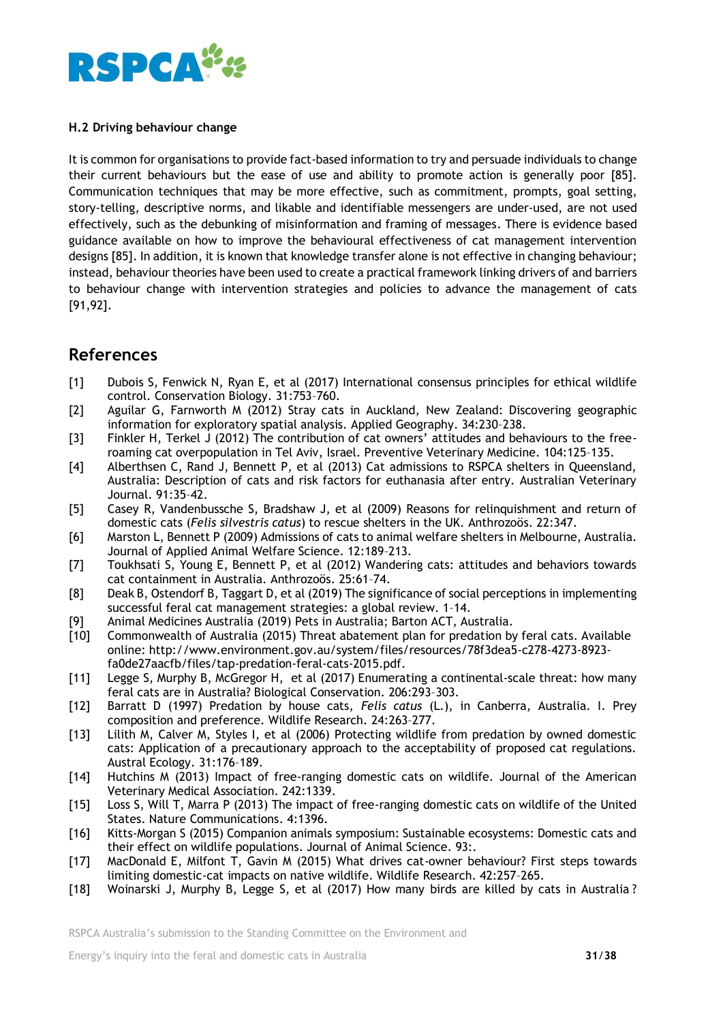

## **H.2 Driving behaviour change**

It is common for organisations to provide fact-based information to try and persuade individuals to change their current behaviours but the ease of use and ability to promote action is generally poor [85]. Communication techniques that may be more effective, such as commitment, prompts, goal setting, story-telling, descriptive norms, and likable and identifiable messengers are under-used, are not used effectively, such as the debunking of misinformation and framing of messages. There is evidence based guidance available on how to improve the behavioural effectiveness of cat management intervention designs [85]. In addition, it is known that knowledge transfer alone is not effective in changing behaviour; instead, behaviour theories have been used to create a practical framework linking drivers of and barriers to behaviour change with intervention strategies and policies to advance the management of cats [91,92].

# **References**

- [1] Dubois S, Fenwick N, Ryan E, et al (2017) International consensus principles for ethical wildlife control. Conservation Biology. 31:753–760.
- [2] Aguilar G, Farnworth M (2012) Stray cats in Auckland, New Zealand: Discovering geographic information for exploratory spatial analysis. Applied Geography. 34:230–238.
- [3] Finkler H, Terkel J (2012) The contribution of cat owners' attitudes and behaviours to the freeroaming cat overpopulation in Tel Aviv, Israel. Preventive Veterinary Medicine. 104:125–135.
- [4] Alberthsen C, Rand J, Bennett P, et al (2013) Cat admissions to RSPCA shelters in Queensland, Australia: Description of cats and risk factors for euthanasia after entry. Australian Veterinary Journal. 91:35–42.
- [5] Casey R, Vandenbussche S, Bradshaw J, et al (2009) Reasons for relinquishment and return of domestic cats (*Felis silvestris catus*) to rescue shelters in the UK. Anthrozoös. 22:347.
- [6] Marston L, Bennett P (2009) Admissions of cats to animal welfare shelters in Melbourne, Australia. Journal of Applied Animal Welfare Science. 12:189–213.
- [7] Toukhsati S, Young E, Bennett P, et al (2012) Wandering cats: attitudes and behaviors towards cat containment in Australia. Anthrozoös. 25:61–74.
- [8] Deak B, Ostendorf B, Taggart D, et al (2019) The significance of social perceptions in implementing successful feral cat management strategies: a global review. 1–14.
- [9] Animal Medicines Australia (2019) Pets in Australia; Barton ACT, Australia.
- [10] Commonwealth of Australia (2015) Threat abatement plan for predation by feral cats. Available online: http://www.environment.gov.au/system/files/resources/78f3dea5-c278-4273-8923 fa0de27aacfb/files/tap-predation-feral-cats-2015.pdf.
- [11] Legge S, Murphy B, McGregor H, et al (2017) Enumerating a continental-scale threat: how many feral cats are in Australia? Biological Conservation. 206:293–303.
- [12] Barratt D (1997) Predation by house cats, *Felis catus* (L.), in Canberra, Australia. I. Prey composition and preference. Wildlife Research. 24:263–277.
- [13] Lilith M, Calver M, Styles I, et al (2006) Protecting wildlife from predation by owned domestic cats: Application of a precautionary approach to the acceptability of proposed cat regulations. Austral Ecology. 31:176–189.
- [14] Hutchins M (2013) Impact of free-ranging domestic cats on wildlife. Journal of the American Veterinary Medical Association. 242:1339.
- [15] Loss S, Will T, Marra P (2013) The impact of free-ranging domestic cats on wildlife of the United States. Nature Communications. 4:1396.
- [16] Kitts-Morgan S (2015) Companion animals symposium: Sustainable ecosystems: Domestic cats and their effect on wildlife populations. Journal of Animal Science. 93:.
- [17] MacDonald E, Milfont T, Gavin M (2015) What drives cat-owner behaviour? First steps towards limiting domestic-cat impacts on native wildlife. Wildlife Research. 42:257–265.
- [18] Woinarski J, Murphy B, Legge S, et al (2017) How many birds are killed by cats in Australia ?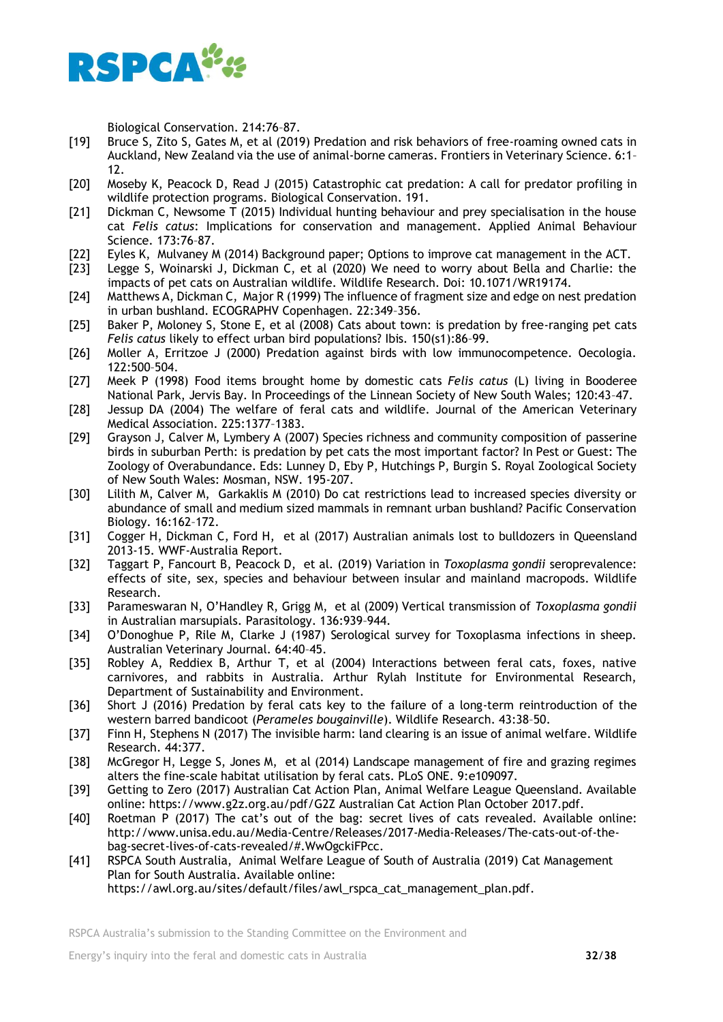

Biological Conservation. 214:76–87.

- [19] Bruce S, Zito S, Gates M, et al (2019) Predation and risk behaviors of free-roaming owned cats in Auckland, New Zealand via the use of animal-borne cameras. Frontiers in Veterinary Science. 6:1– 12.
- [20] Moseby K, Peacock D, Read J (2015) Catastrophic cat predation: A call for predator profiling in wildlife protection programs. Biological Conservation. 191.
- [21] Dickman C, Newsome T (2015) Individual hunting behaviour and prey specialisation in the house cat *Felis catus*: Implications for conservation and management. Applied Animal Behaviour Science. 173:76–87.
- [22] Eyles K, Mulvaney M (2014) Background paper; Options to improve cat management in the ACT.
- [23] Legge S, Woinarski J, Dickman C, et al (2020) We need to worry about Bella and Charlie: the impacts of pet cats on Australian wildlife. Wildlife Research. Doi: 10.1071/WR19174.
- [24] Matthews A, Dickman C, Major R (1999) The influence of fragment size and edge on nest predation in urban bushland. ECOGRAPHV Copenhagen. 22:349–356.
- [25] Baker P, Moloney S, Stone E, et al (2008) Cats about town: is predation by free-ranging pet cats *Felis catus* likely to effect urban bird populations? Ibis. 150(s1):86–99.
- [26] Moller A, Erritzoe J (2000) Predation against birds with low immunocompetence. Oecologia. 122:500–504.
- [27] Meek P (1998) Food items brought home by domestic cats *Felis catus* (L) living in Booderee National Park, Jervis Bay. In Proceedings of the Linnean Society of New South Wales; 120:43–47.
- [28] Jessup DA (2004) The welfare of feral cats and wildlife. Journal of the American Veterinary Medical Association. 225:1377–1383.
- [29] Grayson J, Calver M, Lymbery A (2007) Species richness and community composition of passerine birds in suburban Perth: is predation by pet cats the most important factor? In Pest or Guest: The Zoology of Overabundance. Eds: Lunney D, Eby P, Hutchings P, Burgin S. Royal Zoological Society of New South Wales: Mosman, NSW. 195-207.
- [30] Lilith M, Calver M, Garkaklis M (2010) Do cat restrictions lead to increased species diversity or abundance of small and medium sized mammals in remnant urban bushland? Pacific Conservation Biology. 16:162–172.
- [31] Cogger H, Dickman C, Ford H, et al (2017) Australian animals lost to bulldozers in Queensland 2013-15. WWF-Australia Report.
- [32] Taggart P, Fancourt B, Peacock D, et al. (2019) Variation in *Toxoplasma gondii* seroprevalence: effects of site, sex, species and behaviour between insular and mainland macropods. Wildlife Research.
- [33] Parameswaran N, O'Handley R, Grigg M, et al (2009) Vertical transmission of *Toxoplasma gondii* in Australian marsupials. Parasitology. 136:939–944.
- [34] O'Donoghue P, Rile M, Clarke J (1987) Serological survey for Toxoplasma infections in sheep. Australian Veterinary Journal. 64:40–45.
- [35] Robley A, Reddiex B, Arthur T, et al (2004) Interactions between feral cats, foxes, native carnivores, and rabbits in Australia. Arthur Rylah Institute for Environmental Research, Department of Sustainability and Environment.
- [36] Short J (2016) Predation by feral cats key to the failure of a long-term reintroduction of the western barred bandicoot (*Perameles bougainville*). Wildlife Research. 43:38–50.
- [37] Finn H, Stephens N (2017) The invisible harm: land clearing is an issue of animal welfare. Wildlife Research. 44:377.
- [38] McGregor H, Legge S, Jones M, et al (2014) Landscape management of fire and grazing regimes alters the fine-scale habitat utilisation by feral cats. PLoS ONE. 9:e109097.
- [39] Getting to Zero (2017) Australian Cat Action Plan, Animal Welfare League Queensland. Available online: https://www.g2z.org.au/pdf/G2Z Australian Cat Action Plan October 2017.pdf.
- [40] Roetman P (2017) The cat's out of the bag: secret lives of cats revealed. Available online: http://www.unisa.edu.au/Media-Centre/Releases/2017-Media-Releases/The-cats-out-of-thebag-secret-lives-of-cats-revealed/#.WwOgckiFPcc.
- [41] RSPCA South Australia, Animal Welfare League of South of Australia (2019) Cat Management Plan for South Australia. Available online: https://awl.org.au/sites/default/files/awl\_rspca\_cat\_management\_plan.pdf.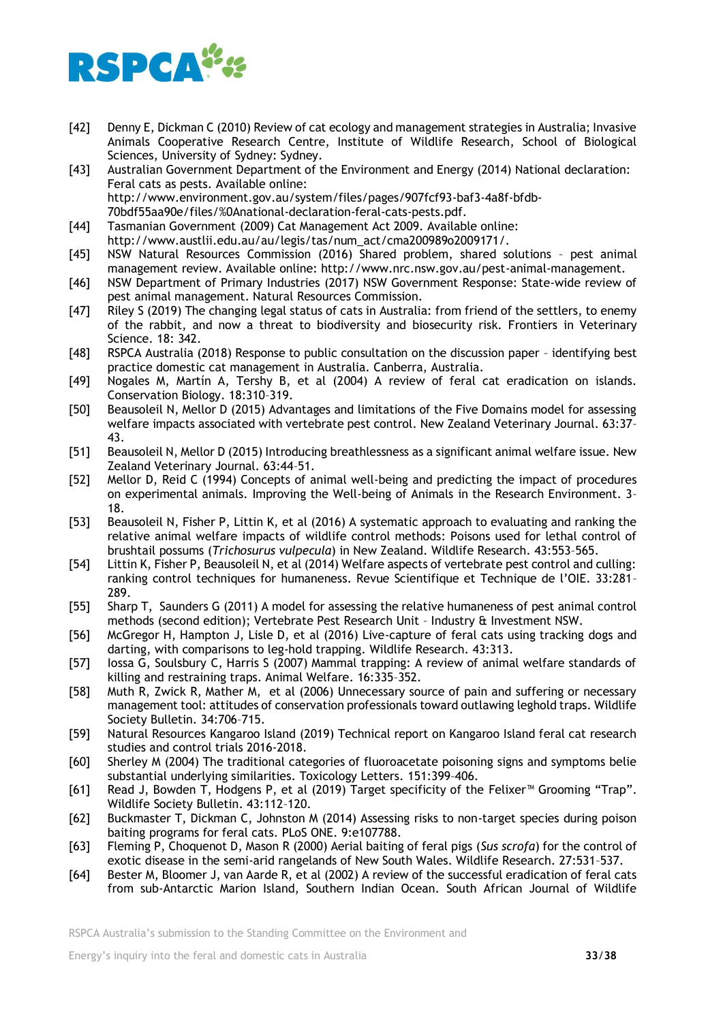

- [42] Denny E, Dickman C (2010) Review of cat ecology and management strategies in Australia; Invasive Animals Cooperative Research Centre, Institute of Wildlife Research, School of Biological Sciences, University of Sydney: Sydney.
- [43] Australian Government Department of the Environment and Energy (2014) National declaration: Feral cats as pests. Available online: http://www.environment.gov.au/system/files/pages/907fcf93-baf3-4a8f-bfdb-70bdf55aa90e/files/%0Anational-declaration-feral-cats-pests.pdf.
- [44] Tasmanian Government (2009) Cat Management Act 2009. Available online: http://www.austlii.edu.au/au/legis/tas/num\_act/cma200989o2009171/.
- [45] NSW Natural Resources Commission (2016) Shared problem, shared solutions pest animal management review. Available online: http://www.nrc.nsw.gov.au/pest-animal-management.
- [46] NSW Department of Primary Industries (2017) NSW Government Response: State-wide review of pest animal management. Natural Resources Commission.
- [47] Riley S (2019) The changing legal status of cats in Australia: from friend of the settlers, to enemy of the rabbit, and now a threat to biodiversity and biosecurity risk. Frontiers in Veterinary Science. 18: 342.
- [48] RSPCA Australia (2018) Response to public consultation on the discussion paper identifying best practice domestic cat management in Australia. Canberra, Australia.
- [49] Nogales M, Martín A, Tershy B, et al (2004) A review of feral cat eradication on islands. Conservation Biology. 18:310–319.
- [50] Beausoleil N, Mellor D (2015) Advantages and limitations of the Five Domains model for assessing welfare impacts associated with vertebrate pest control. New Zealand Veterinary Journal. 63:37– 43.
- [51] Beausoleil N, Mellor D (2015) Introducing breathlessness as a significant animal welfare issue. New Zealand Veterinary Journal. 63:44–51.
- [52] Mellor D, Reid C (1994) Concepts of animal well-being and predicting the impact of procedures on experimental animals. Improving the Well-being of Animals in the Research Environment. 3– 18.
- [53] Beausoleil N, Fisher P, Littin K, et al (2016) A systematic approach to evaluating and ranking the relative animal welfare impacts of wildlife control methods: Poisons used for lethal control of brushtail possums (*Trichosurus vulpecula*) in New Zealand. Wildlife Research. 43:553–565.
- [54] Littin K, Fisher P, Beausoleil N, et al (2014) Welfare aspects of vertebrate pest control and culling: ranking control techniques for humaneness. Revue Scientifique et Technique de l'OIE. 33:281– 289.
- [55] Sharp T, Saunders G (2011) A model for assessing the relative humaneness of pest animal control methods (second edition); Vertebrate Pest Research Unit – Industry & Investment NSW.
- [56] McGregor H, Hampton J, Lisle D, et al (2016) Live-capture of feral cats using tracking dogs and darting, with comparisons to leg-hold trapping. Wildlife Research. 43:313.
- [57] Iossa G, Soulsbury C, Harris S (2007) Mammal trapping: A review of animal welfare standards of killing and restraining traps. Animal Welfare. 16:335–352.
- [58] Muth R, Zwick R, Mather M, et al (2006) Unnecessary source of pain and suffering or necessary management tool: attitudes of conservation professionals toward outlawing leghold traps. Wildlife Society Bulletin. 34:706–715.
- [59] Natural Resources Kangaroo Island (2019) Technical report on Kangaroo Island feral cat research studies and control trials 2016-2018.
- [60] Sherley M (2004) The traditional categories of fluoroacetate poisoning signs and symptoms belie substantial underlying similarities. Toxicology Letters. 151:399–406.
- [61] Read J, Bowden T, Hodgens P, et al (2019) Target specificity of the Felixer™ Grooming "Trap". Wildlife Society Bulletin. 43:112–120.
- [62] Buckmaster T, Dickman C, Johnston M (2014) Assessing risks to non-target species during poison baiting programs for feral cats. PLoS ONE. 9:e107788.
- [63] Fleming P, Choquenot D, Mason R (2000) Aerial baiting of feral pigs (*Sus scrofa*) for the control of exotic disease in the semi-arid rangelands of New South Wales. Wildlife Research. 27:531–537.
- [64] Bester M, Bloomer J, van Aarde R, et al (2002) A review of the successful eradication of feral cats from sub-Antarctic Marion Island, Southern Indian Ocean. South African Journal of Wildlife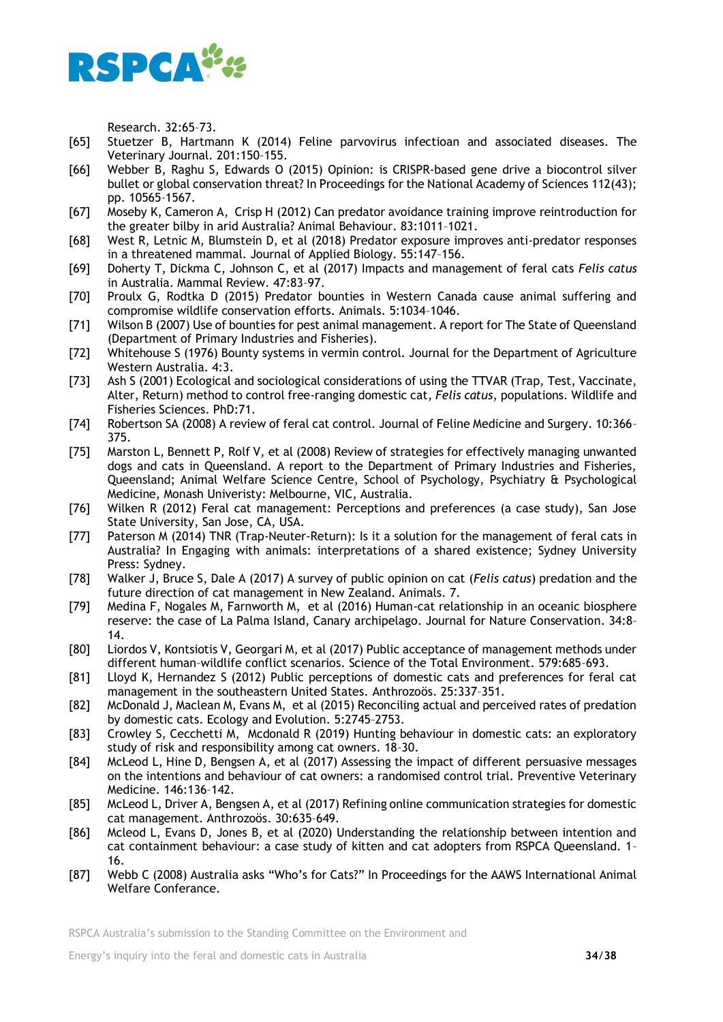

Research. 32:65–73.

- [65] Stuetzer B, Hartmann K (2014) Feline parvovirus infectioan and associated diseases. The Veterinary Journal. 201:150–155.
- [66] Webber B, Raghu S, Edwards O (2015) Opinion: is CRISPR-based gene drive a biocontrol silver bullet or global conservation threat? In Proceedings for the National Academy of Sciences 112(43); pp. 10565–1567.
- [67] Moseby K, Cameron A, Crisp H (2012) Can predator avoidance training improve reintroduction for the greater bilby in arid Australia? Animal Behaviour. 83:1011–1021.
- [68] West R, Letnic M, Blumstein D, et al (2018) Predator exposure improves anti-predator responses in a threatened mammal. Journal of Applied Biology. 55:147–156.
- [69] Doherty T, Dickma C, Johnson C, et al (2017) Impacts and management of feral cats *Felis catus* in Australia. Mammal Review. 47:83–97.
- [70] Proulx G, Rodtka D (2015) Predator bounties in Western Canada cause animal suffering and compromise wildlife conservation efforts. Animals. 5:1034–1046.
- [71] Wilson B (2007) Use of bounties for pest animal management. A report for The State of Queensland (Department of Primary Industries and Fisheries).
- [72] Whitehouse S (1976) Bounty systems in vermin control. Journal for the Department of Agriculture Western Australia. 4:3.
- [73] Ash S (2001) Ecological and sociological considerations of using the TTVAR (Trap, Test, Vaccinate, Alter, Return) method to control free-ranging domestic cat, *Felis catus*, populations. Wildlife and Fisheries Sciences. PhD:71.
- [74] Robertson SA (2008) A review of feral cat control. Journal of Feline Medicine and Surgery. 10:366– 375.
- [75] Marston L, Bennett P, Rolf V, et al (2008) Review of strategies for effectively managing unwanted dogs and cats in Queensland. A report to the Department of Primary Industries and Fisheries, Queensland; Animal Welfare Science Centre, School of Psychology, Psychiatry & Psychological Medicine, Monash Univeristy: Melbourne, VIC, Australia.
- [76] Wilken R (2012) Feral cat management: Perceptions and preferences (a case study), San Jose State University, San Jose, CA, USA.
- [77] Paterson M (2014) TNR (Trap-Neuter-Return): Is it a solution for the management of feral cats in Australia? In Engaging with animals: interpretations of a shared existence; Sydney University Press: Sydney.
- [78] Walker J, Bruce S, Dale A (2017) A survey of public opinion on cat (*Felis catus*) predation and the future direction of cat management in New Zealand. Animals. 7.
- [79] Medina F, Nogales M, Farnworth M, et al (2016) Human-cat relationship in an oceanic biosphere reserve: the case of La Palma Island, Canary archipelago. Journal for Nature Conservation. 34:8– 14.
- [80] Liordos V, Kontsiotis V, Georgari M, et al (2017) Public acceptance of management methods under different human–wildlife conflict scenarios. Science of the Total Environment. 579:685–693.
- [81] Lloyd K, Hernandez S (2012) Public perceptions of domestic cats and preferences for feral cat management in the southeastern United States. Anthrozoös. 25:337–351.
- [82] McDonald J, Maclean M, Evans M, et al (2015) Reconciling actual and perceived rates of predation by domestic cats. Ecology and Evolution. 5:2745–2753.
- [83] Crowley S, Cecchetti M, Mcdonald R (2019) Hunting behaviour in domestic cats: an exploratory study of risk and responsibility among cat owners. 18–30.
- [84] McLeod L, Hine D, Bengsen A, et al (2017) Assessing the impact of different persuasive messages on the intentions and behaviour of cat owners: a randomised control trial. Preventive Veterinary Medicine. 146:136–142.
- [85] McLeod L, Driver A, Bengsen A, et al (2017) Refining online communication strategies for domestic cat management. Anthrozoös. 30:635–649.
- [86] Mcleod L, Evans D, Jones B, et al (2020) Understanding the relationship between intention and cat containment behaviour: a case study of kitten and cat adopters from RSPCA Queensland. 1– 16.
- [87] Webb C (2008) Australia asks "Who's for Cats?" In Proceedings for the AAWS International Animal Welfare Conferance.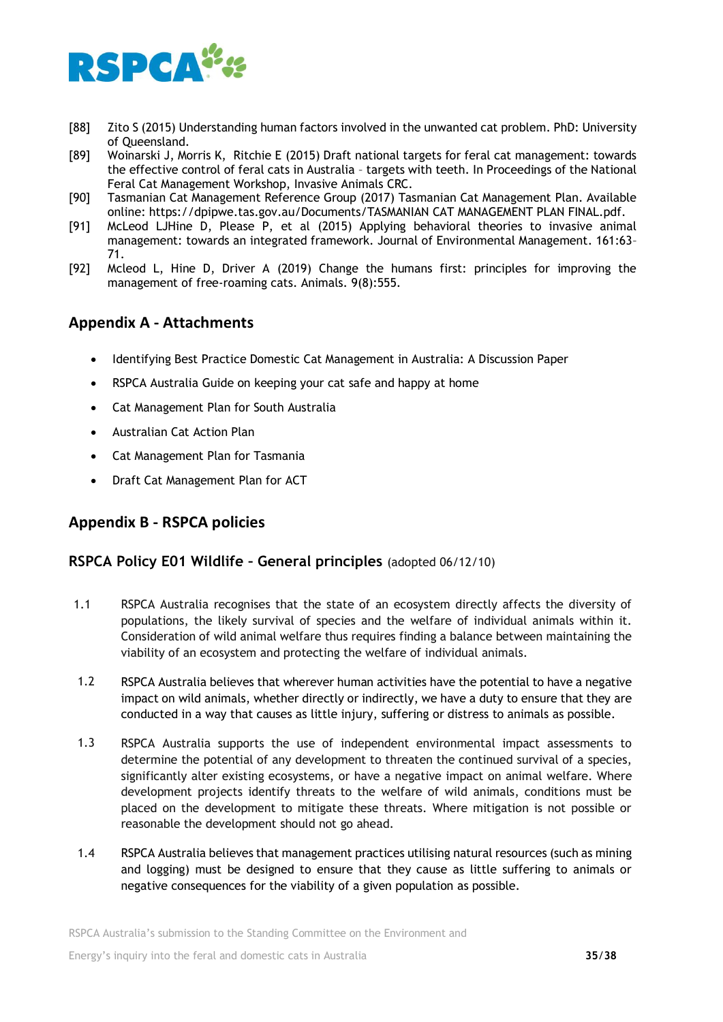

- [88] Zito S (2015) Understanding human factors involved in the unwanted cat problem. PhD: University of Queensland.
- [89] Woinarski J, Morris K, Ritchie E (2015) Draft national targets for feral cat management: towards the effective control of feral cats in Australia – targets with teeth. In Proceedings of the National Feral Cat Management Workshop, Invasive Animals CRC.
- [90] Tasmanian Cat Management Reference Group (2017) Tasmanian Cat Management Plan. Available online: https://dpipwe.tas.gov.au/Documents/TASMANIAN CAT MANAGEMENT PLAN FINAL.pdf.
- [91] McLeod LJHine D, Please P, et al (2015) Applying behavioral theories to invasive animal management: towards an integrated framework. Journal of Environmental Management. 161:63– 71.
- [92] Mcleod L, Hine D, Driver A (2019) Change the humans first: principles for improving the management of free-roaming cats. Animals. 9(8):555.

## **Appendix A - Attachments**

- Identifying Best Practice Domestic Cat Management in Australia: A Discussion Paper
- RSPCA Australia Guide on keeping your cat safe and happy at home
- Cat Management Plan for South Australia
- Australian Cat Action Plan
- Cat Management Plan for Tasmania
- Draft Cat Management Plan for ACT

## **Appendix B - RSPCA policies**

## **RSPCA Policy E01 Wildlife – General principles** (adopted 06/12/10)

- 1.1 RSPCA Australia recognises that the state of an ecosystem directly affects the diversity of populations, the likely survival of species and the welfare of individual animals within it. Consideration of wild animal welfare thus requires finding a balance between maintaining the viability of an ecosystem and protecting the welfare of individual animals.
- 1.2 RSPCA Australia believes that wherever human activities have the potential to have a negative impact on wild animals, whether directly or indirectly, we have a duty to ensure that they are conducted in a way that causes as little injury, suffering or distress to animals as possible.
- 1.3 RSPCA Australia supports the use of independent environmental impact assessments to determine the potential of any development to threaten the continued survival of a species, significantly alter existing ecosystems, or have a negative impact on animal welfare. Where development projects identify threats to the welfare of wild animals, conditions must be placed on the development to mitigate these threats. Where mitigation is not possible or reasonable the development should not go ahead.
- 1.4 RSPCA Australia believes that management practices utilising natural resources (such as mining and logging) must be designed to ensure that they cause as little suffering to animals or negative consequences for the viability of a given population as possible.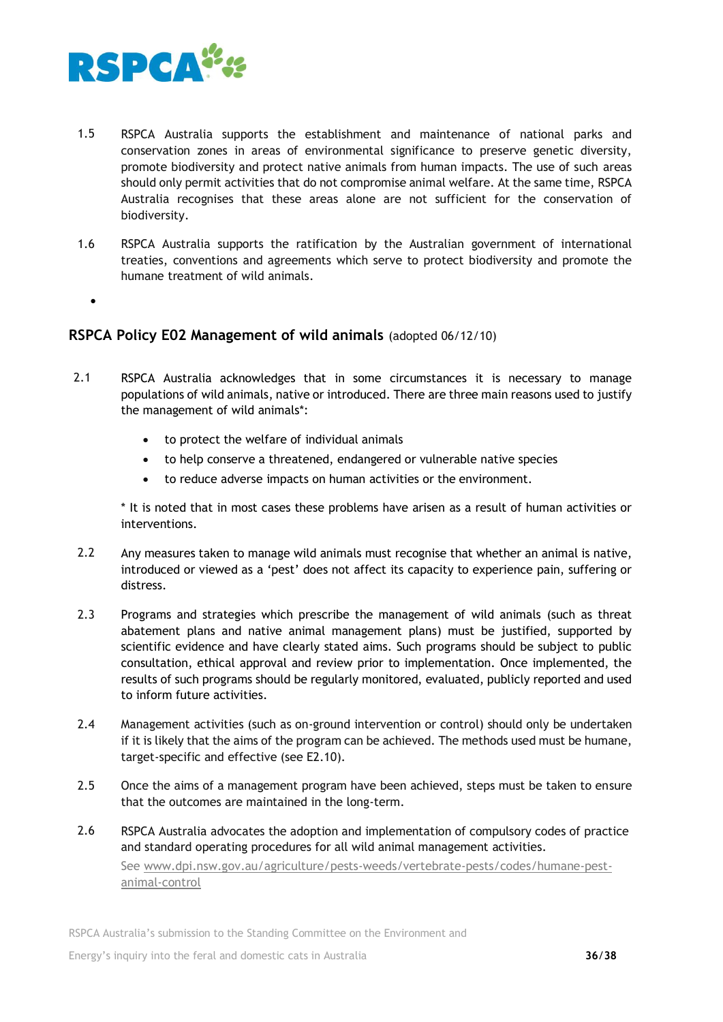

- 1.5 RSPCA Australia supports the establishment and maintenance of national parks and conservation zones in areas of environmental significance to preserve genetic diversity, promote biodiversity and protect native animals from human impacts. The use of such areas should only permit activities that do not compromise animal welfare. At the same time, RSPCA Australia recognises that these areas alone are not sufficient for the conservation of biodiversity.
- 1.6 RSPCA Australia supports the ratification by the Australian government of international treaties, conventions and agreements which serve to protect biodiversity and promote the humane treatment of wild animals.
	- •

## **RSPCA Policy E02 Management of wild animals** (adopted 06/12/10)

- 2.1 RSPCA Australia acknowledges that in some circumstances it is necessary to manage populations of wild animals, native or introduced. There are three main reasons used to justify the management of wild animals\*:
	- to protect the welfare of individual animals
	- to help conserve a threatened, endangered or vulnerable native species
	- to reduce adverse impacts on human activities or the environment.

\* It is noted that in most cases these problems have arisen as a result of human activities or interventions.

- 2.2 Any measures taken to manage wild animals must recognise that whether an animal is native, introduced or viewed as a 'pest' does not affect its capacity to experience pain, suffering or distress.
- 2.3 Programs and strategies which prescribe the management of wild animals (such as threat abatement plans and native animal management plans) must be justified, supported by scientific evidence and have clearly stated aims. Such programs should be subject to public consultation, ethical approval and review prior to implementation. Once implemented, the results of such programs should be regularly monitored, evaluated, publicly reported and used to inform future activities.
- 2.4 Management activities (such as on-ground intervention or control) should only be undertaken if it is likely that the aims of the program can be achieved. The methods used must be humane, target-specific and effective (see E2.10).
- 2.5 Once the aims of a management program have been achieved, steps must be taken to ensure that the outcomes are maintained in the long-term.
- 2.6 RSPCA Australia advocates the adoption and implementation of compulsory codes of practice and standard operating procedures for all wild animal management activities. See [www.dpi.nsw.gov.au/agriculture/pests-weeds/vertebrate-pests/codes/humane-pest](http://www.dpi.nsw.gov.au/agriculture/pests-weeds/vertebrate-pests/codes/humane-pest-animal-control)[animal-control](http://www.dpi.nsw.gov.au/agriculture/pests-weeds/vertebrate-pests/codes/humane-pest-animal-control)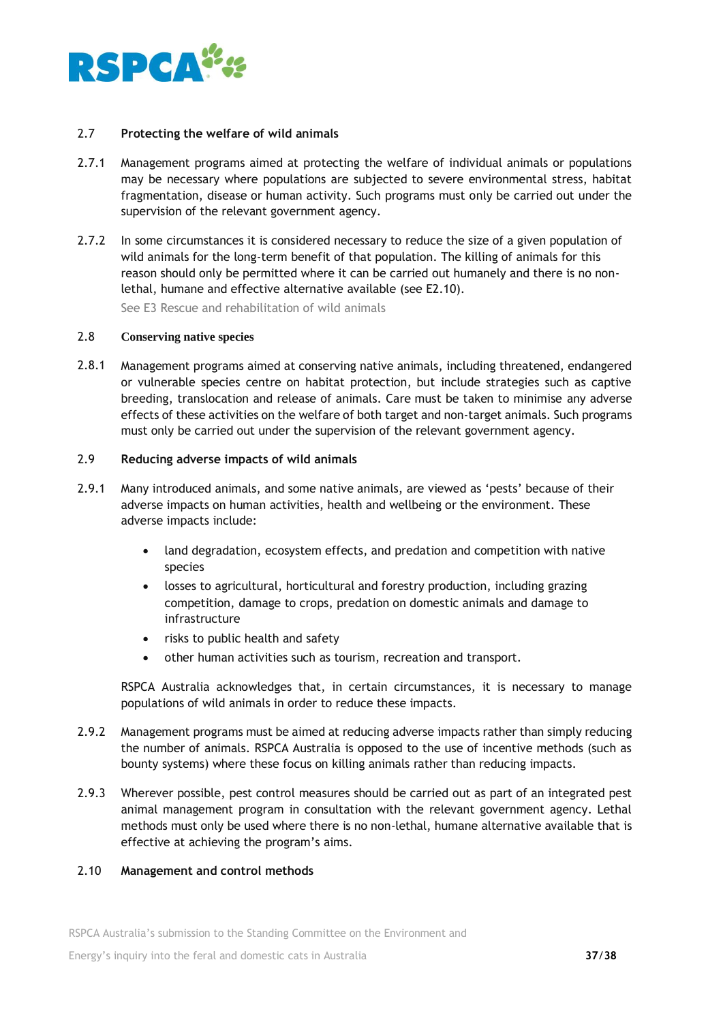

#### 2.7 **Protecting the welfare of wild animals**

- 2.7.1 Management programs aimed at protecting the welfare of individual animals or populations may be necessary where populations are subjected to severe environmental stress, habitat fragmentation, disease or human activity. Such programs must only be carried out under the supervision of the relevant government agency.
- 2.7.2 In some circumstances it is considered necessary to reduce the size of a given population of wild animals for the long-term benefit of that population. The killing of animals for this reason should only be permitted where it can be carried out humanely and there is no nonlethal, humane and effective alternative available (see E2.10).

See E3 Rescue and rehabilitation of wild animals

#### 2.8 **Conserving native species**

2.8.1 Management programs aimed at conserving native animals, including threatened, endangered or vulnerable species centre on habitat protection, but include strategies such as captive breeding, translocation and release of animals. Care must be taken to minimise any adverse effects of these activities on the welfare of both target and non-target animals. Such programs must only be carried out under the supervision of the relevant government agency.

## 2.9 **Reducing adverse impacts of wild animals**

- 2.9.1 Many introduced animals, and some native animals, are viewed as 'pests' because of their adverse impacts on human activities, health and wellbeing or the environment. These adverse impacts include:
	- land degradation, ecosystem effects, and predation and competition with native species
	- losses to agricultural, horticultural and forestry production, including grazing competition, damage to crops, predation on domestic animals and damage to infrastructure
	- risks to public health and safety
	- other human activities such as tourism, recreation and transport.

RSPCA Australia acknowledges that, in certain circumstances, it is necessary to manage populations of wild animals in order to reduce these impacts.

- 2.9.2 Management programs must be aimed at reducing adverse impacts rather than simply reducing the number of animals. RSPCA Australia is opposed to the use of incentive methods (such as bounty systems) where these focus on killing animals rather than reducing impacts.
- 2.9.3 Wherever possible, pest control measures should be carried out as part of an integrated pest animal management program in consultation with the relevant government agency. Lethal methods must only be used where there is no non-lethal, humane alternative available that is effective at achieving the program's aims.

## 2.10 **Management and control methods**